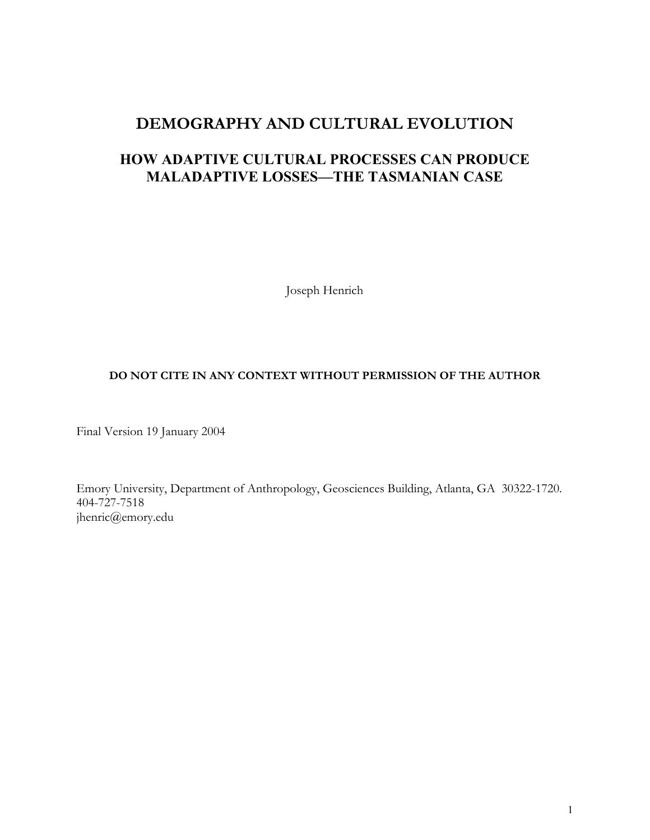# **DEMOGRAPHY AND CULTURAL EVOLUTION**

# **HOW ADAPTIVE CULTURAL PROCESSES CAN PRODUCE MALADAPTIVE LOSSES—THE TASMANIAN CASE**

Joseph Henrich

# **DO NOT CITE IN ANY CONTEXT WITHOUT PERMISSION OF THE AUTHOR**

Final Version 19 January 2004

Emory University, Department of Anthropology, Geosciences Building, Atlanta, GA 30322-1720. 404-727-7518 jhenric@emory.edu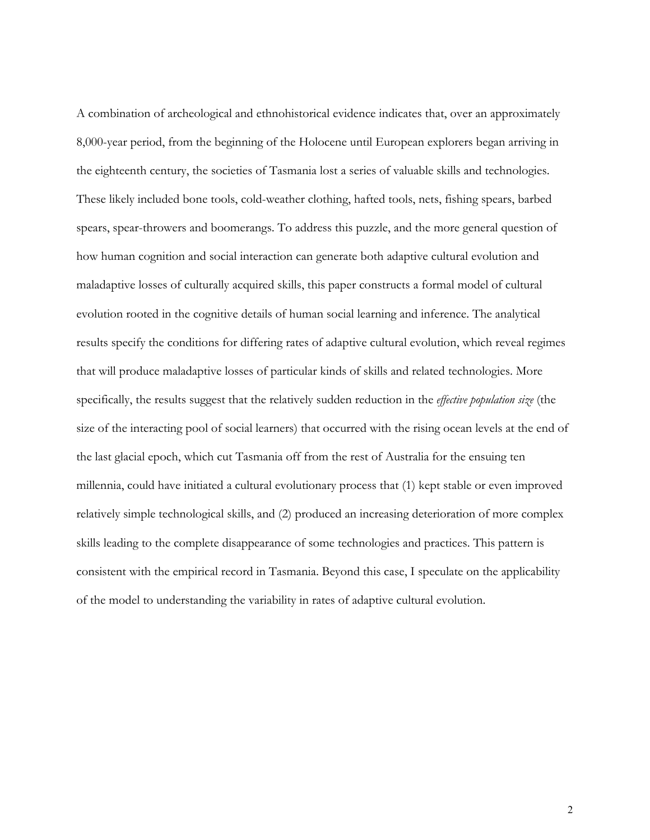A combination of archeological and ethnohistorical evidence indicates that, over an approximately 8,000-year period, from the beginning of the Holocene until European explorers began arriving in the eighteenth century, the societies of Tasmania lost a series of valuable skills and technologies. These likely included bone tools, cold-weather clothing, hafted tools, nets, fishing spears, barbed spears, spear-throwers and boomerangs. To address this puzzle, and the more general question of how human cognition and social interaction can generate both adaptive cultural evolution and maladaptive losses of culturally acquired skills, this paper constructs a formal model of cultural evolution rooted in the cognitive details of human social learning and inference. The analytical results specify the conditions for differing rates of adaptive cultural evolution, which reveal regimes that will produce maladaptive losses of particular kinds of skills and related technologies. More specifically, the results suggest that the relatively sudden reduction in the *effective population size* (the size of the interacting pool of social learners) that occurred with the rising ocean levels at the end of the last glacial epoch, which cut Tasmania off from the rest of Australia for the ensuing ten millennia, could have initiated a cultural evolutionary process that (1) kept stable or even improved relatively simple technological skills, and (2) produced an increasing deterioration of more complex skills leading to the complete disappearance of some technologies and practices. This pattern is consistent with the empirical record in Tasmania. Beyond this case, I speculate on the applicability of the model to understanding the variability in rates of adaptive cultural evolution.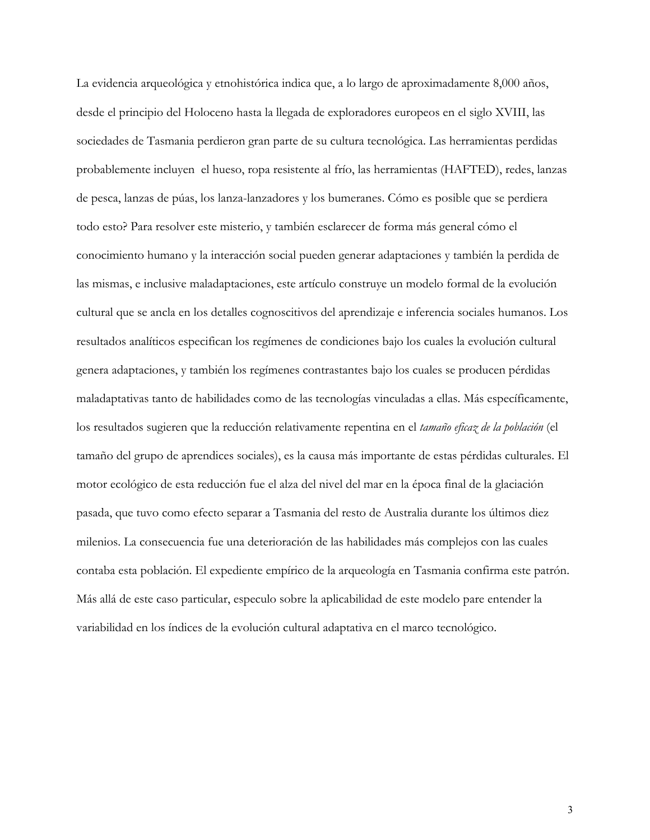La evidencia arqueológica y etnohistórica indica que, a lo largo de aproximadamente 8,000 años, desde el principio del Holoceno hasta la llegada de exploradores europeos en el siglo XVIII, las sociedades de Tasmania perdieron gran parte de su cultura tecnológica. Las herramientas perdidas probablemente incluyen el hueso, ropa resistente al frío, las herramientas (HAFTED), redes, lanzas de pesca, lanzas de púas, los lanza-lanzadores y los bumeranes. Cómo es posible que se perdiera todo esto? Para resolver este misterio, y también esclarecer de forma más general cómo el conocimiento humano y la interacción social pueden generar adaptaciones y también la perdida de las mismas, e inclusive maladaptaciones, este artículo construye un modelo formal de la evolución cultural que se ancla en los detalles cognoscitivos del aprendizaje e inferencia sociales humanos. Los resultados analíticos especifican los regímenes de condiciones bajo los cuales la evolución cultural genera adaptaciones, y también los regímenes contrastantes bajo los cuales se producen pérdidas maladaptativas tanto de habilidades como de las tecnologías vinculadas a ellas. Más específicamente, los resultados sugieren que la reducción relativamente repentina en el *tamaño eficaz de la población* (el tamaño del grupo de aprendices sociales), es la causa más importante de estas pérdidas culturales. El motor ecológico de esta reducción fue el alza del nivel del mar en la época final de la glaciación pasada, que tuvo como efecto separar a Tasmania del resto de Australia durante los últimos diez milenios. La consecuencia fue una deterioración de las habilidades más complejos con las cuales contaba esta población. El expediente empírico de la arqueología en Tasmania confirma este patrón. Más allá de este caso particular, especulo sobre la aplicabilidad de este modelo pare entender la variabilidad en los índices de la evolución cultural adaptativa en el marco tecnológico.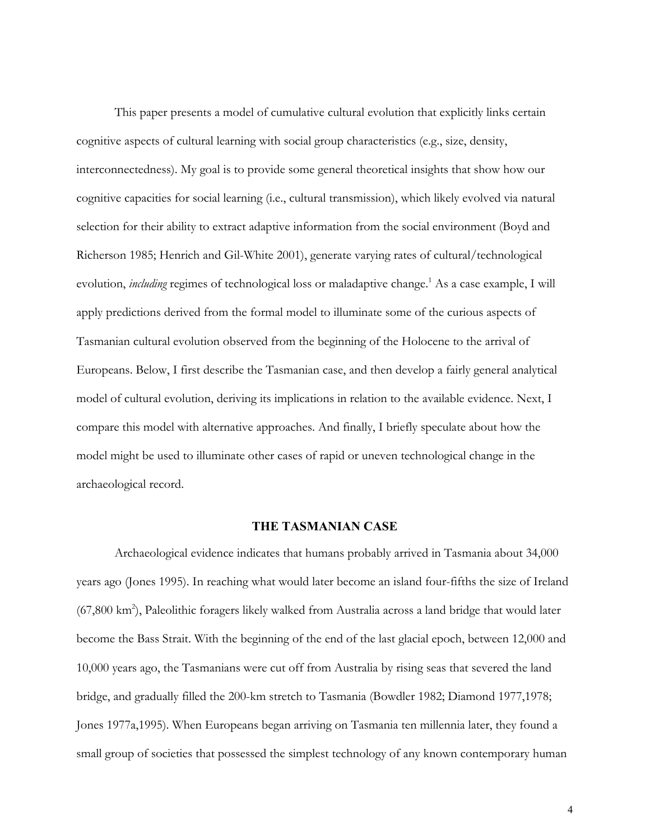This paper presents a model of cumulative cultural evolution that explicitly links certain cognitive aspects of cultural learning with social group characteristics (e.g., size, density, interconnectedness). My goal is to provide some general theoretical insights that show how our cognitive capacities for social learning (i.e., cultural transmission), which likely evolved via natural selection for their ability to extract adaptive information from the social environment (Boyd and Richerson 1985; Henrich and Gil-White 2001), generate varying rates of cultural/technological evolution, *including* regimes of technological loss or maladaptive change.<sup>1</sup> As a case example, I will apply predictions derived from the formal model to illuminate some of the curious aspects of Tasmanian cultural evolution observed from the beginning of the Holocene to the arrival of Europeans. Below, I first describe the Tasmanian case, and then develop a fairly general analytical model of cultural evolution, deriving its implications in relation to the available evidence. Next, I compare this model with alternative approaches. And finally, I briefly speculate about how the model might be used to illuminate other cases of rapid or uneven technological change in the archaeological record.

## **THE TASMANIAN CASE**

Archaeological evidence indicates that humans probably arrived in Tasmania about 34,000 years ago (Jones 1995). In reaching what would later become an island four-fifths the size of Ireland (67,800 km<sup>2</sup>), Paleolithic foragers likely walked from Australia across a land bridge that would later become the Bass Strait. With the beginning of the end of the last glacial epoch, between 12,000 and 10,000 years ago, the Tasmanians were cut off from Australia by rising seas that severed the land bridge, and gradually filled the 200-km stretch to Tasmania (Bowdler 1982; Diamond 1977,1978; Jones 1977a,1995). When Europeans began arriving on Tasmania ten millennia later, they found a small group of societies that possessed the simplest technology of any known contemporary human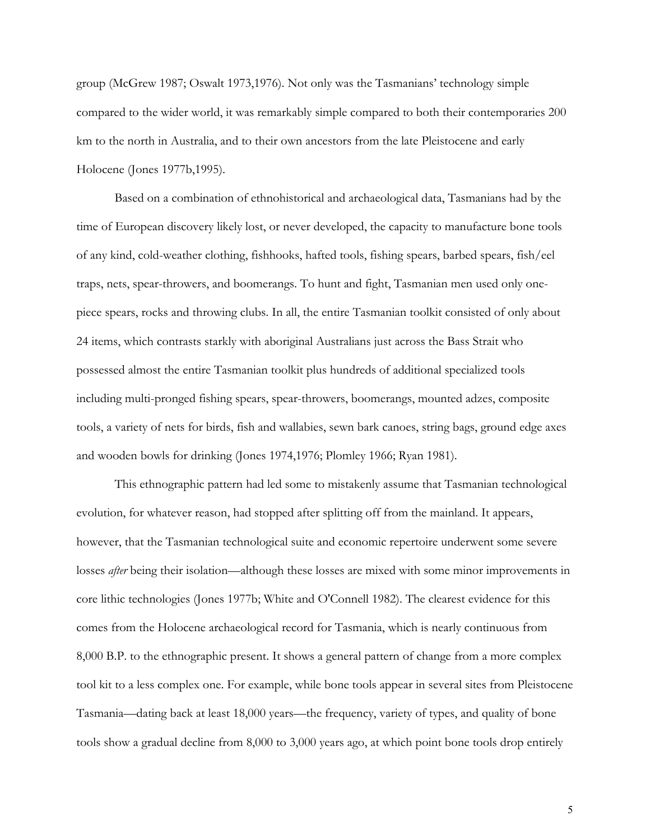group (McGrew 1987; Oswalt 1973,1976). Not only was the Tasmanians' technology simple compared to the wider world, it was remarkably simple compared to both their contemporaries 200 km to the north in Australia, and to their own ancestors from the late Pleistocene and early Holocene (Jones 1977b,1995).

Based on a combination of ethnohistorical and archaeological data, Tasmanians had by the time of European discovery likely lost, or never developed, the capacity to manufacture bone tools of any kind, cold-weather clothing, fishhooks, hafted tools, fishing spears, barbed spears, fish/eel traps, nets, spear-throwers, and boomerangs. To hunt and fight, Tasmanian men used only onepiece spears, rocks and throwing clubs. In all, the entire Tasmanian toolkit consisted of only about 24 items, which contrasts starkly with aboriginal Australians just across the Bass Strait who possessed almost the entire Tasmanian toolkit plus hundreds of additional specialized tools including multi-pronged fishing spears, spear-throwers, boomerangs, mounted adzes, composite tools, a variety of nets for birds, fish and wallabies, sewn bark canoes, string bags, ground edge axes and wooden bowls for drinking (Jones 1974,1976; Plomley 1966; Ryan 1981).

This ethnographic pattern had led some to mistakenly assume that Tasmanian technological evolution, for whatever reason, had stopped after splitting off from the mainland. It appears, however, that the Tasmanian technological suite and economic repertoire underwent some severe losses *after* being their isolation—although these losses are mixed with some minor improvements in core lithic technologies (Jones 1977b; White and O'Connell 1982). The clearest evidence for this comes from the Holocene archaeological record for Tasmania, which is nearly continuous from 8,000 B.P. to the ethnographic present. It shows a general pattern of change from a more complex tool kit to a less complex one. For example, while bone tools appear in several sites from Pleistocene Tasmania—dating back at least 18,000 years—the frequency, variety of types, and quality of bone tools show a gradual decline from 8,000 to 3,000 years ago, at which point bone tools drop entirely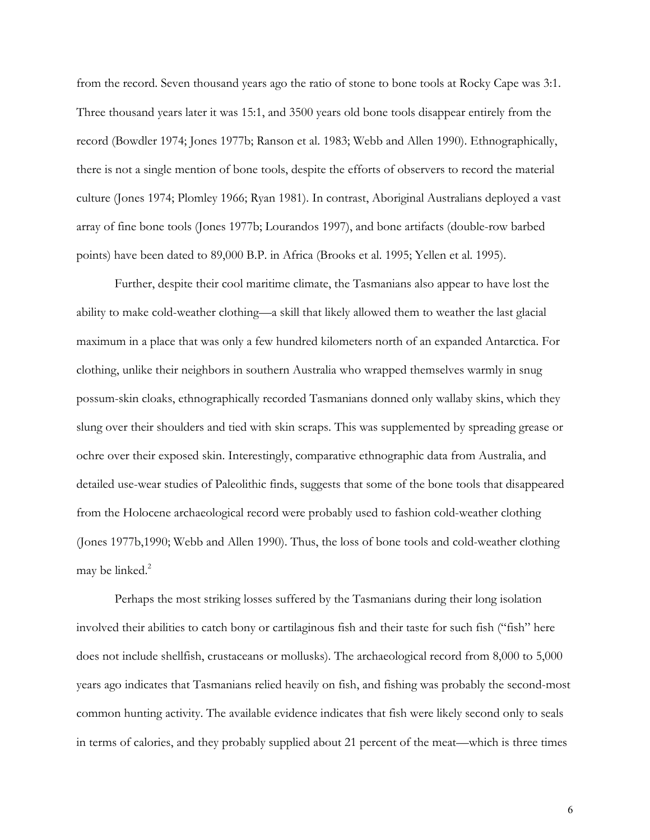from the record. Seven thousand years ago the ratio of stone to bone tools at Rocky Cape was 3:1. Three thousand years later it was 15:1, and 3500 years old bone tools disappear entirely from the record (Bowdler 1974; Jones 1977b; Ranson et al. 1983; Webb and Allen 1990). Ethnographically, there is not a single mention of bone tools, despite the efforts of observers to record the material culture (Jones 1974; Plomley 1966; Ryan 1981). In contrast, Aboriginal Australians deployed a vast array of fine bone tools (Jones 1977b; Lourandos 1997), and bone artifacts (double-row barbed points) have been dated to 89,000 B.P. in Africa (Brooks et al. 1995; Yellen et al. 1995).

Further, despite their cool maritime climate, the Tasmanians also appear to have lost the ability to make cold-weather clothing—a skill that likely allowed them to weather the last glacial maximum in a place that was only a few hundred kilometers north of an expanded Antarctica. For clothing, unlike their neighbors in southern Australia who wrapped themselves warmly in snug possum-skin cloaks, ethnographically recorded Tasmanians donned only wallaby skins, which they slung over their shoulders and tied with skin scraps. This was supplemented by spreading grease or ochre over their exposed skin. Interestingly, comparative ethnographic data from Australia, and detailed use-wear studies of Paleolithic finds, suggests that some of the bone tools that disappeared from the Holocene archaeological record were probably used to fashion cold-weather clothing (Jones 1977b,1990; Webb and Allen 1990). Thus, the loss of bone tools and cold-weather clothing may be linked.<sup>2</sup>

Perhaps the most striking losses suffered by the Tasmanians during their long isolation involved their abilities to catch bony or cartilaginous fish and their taste for such fish ("fish" here does not include shellfish, crustaceans or mollusks). The archaeological record from 8,000 to 5,000 years ago indicates that Tasmanians relied heavily on fish, and fishing was probably the second-most common hunting activity. The available evidence indicates that fish were likely second only to seals in terms of calories, and they probably supplied about 21 percent of the meat—which is three times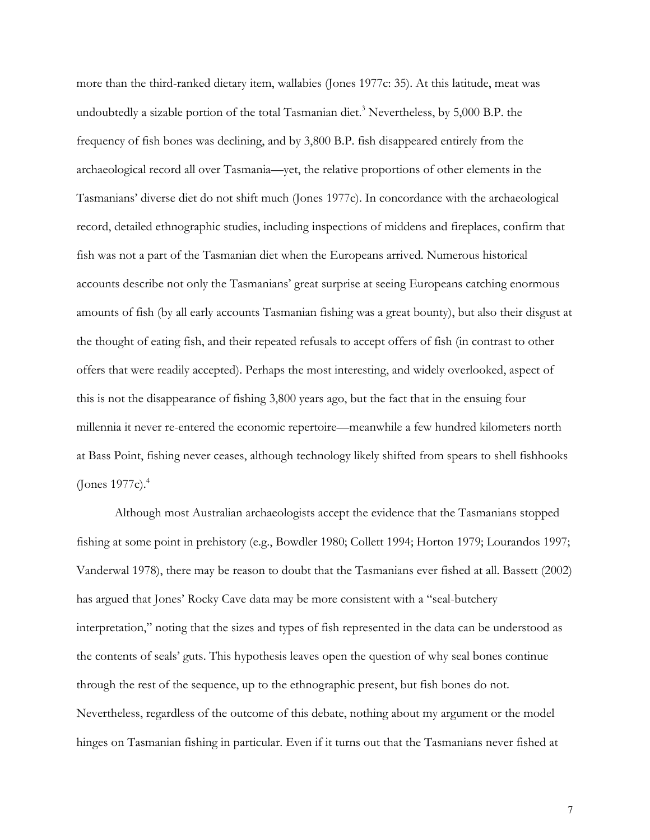more than the third-ranked dietary item, wallabies (Jones 1977c: 35). At this latitude, meat was undoubtedly a sizable portion of the total Tasmanian diet.<sup>3</sup> Nevertheless, by  $5,000$  B.P. the frequency of fish bones was declining, and by 3,800 B.P. fish disappeared entirely from the archaeological record all over Tasmania—yet, the relative proportions of other elements in the Tasmanians' diverse diet do not shift much (Jones 1977c). In concordance with the archaeological record, detailed ethnographic studies, including inspections of middens and fireplaces, confirm that fish was not a part of the Tasmanian diet when the Europeans arrived. Numerous historical accounts describe not only the Tasmanians' great surprise at seeing Europeans catching enormous amounts of fish (by all early accounts Tasmanian fishing was a great bounty), but also their disgust at the thought of eating fish, and their repeated refusals to accept offers of fish (in contrast to other offers that were readily accepted). Perhaps the most interesting, and widely overlooked, aspect of this is not the disappearance of fishing 3,800 years ago, but the fact that in the ensuing four millennia it never re-entered the economic repertoire—meanwhile a few hundred kilometers north at Bass Point, fishing never ceases, although technology likely shifted from spears to shell fishhooks (Jones 1977c).4

Although most Australian archaeologists accept the evidence that the Tasmanians stopped fishing at some point in prehistory (e.g., Bowdler 1980; Collett 1994; Horton 1979; Lourandos 1997; Vanderwal 1978), there may be reason to doubt that the Tasmanians ever fished at all. Bassett (2002) has argued that Jones' Rocky Cave data may be more consistent with a "seal-butchery interpretation," noting that the sizes and types of fish represented in the data can be understood as the contents of seals' guts. This hypothesis leaves open the question of why seal bones continue through the rest of the sequence, up to the ethnographic present, but fish bones do not. Nevertheless, regardless of the outcome of this debate, nothing about my argument or the model hinges on Tasmanian fishing in particular. Even if it turns out that the Tasmanians never fished at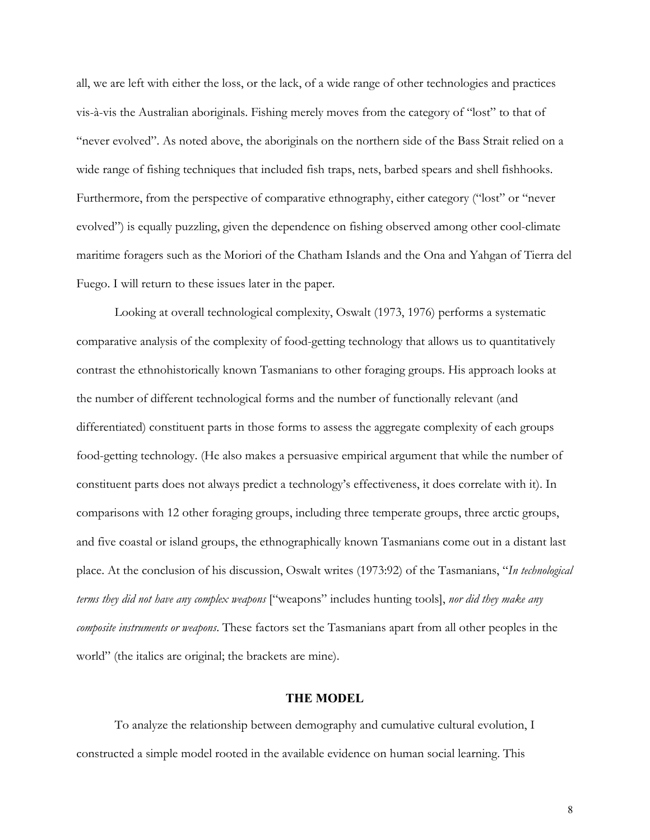all, we are left with either the loss, or the lack, of a wide range of other technologies and practices vis-à-vis the Australian aboriginals. Fishing merely moves from the category of "lost" to that of "never evolved". As noted above, the aboriginals on the northern side of the Bass Strait relied on a wide range of fishing techniques that included fish traps, nets, barbed spears and shell fishhooks. Furthermore, from the perspective of comparative ethnography, either category ("lost" or "never evolved") is equally puzzling, given the dependence on fishing observed among other cool-climate maritime foragers such as the Moriori of the Chatham Islands and the Ona and Yahgan of Tierra del Fuego. I will return to these issues later in the paper.

Looking at overall technological complexity, Oswalt (1973, 1976) performs a systematic comparative analysis of the complexity of food-getting technology that allows us to quantitatively contrast the ethnohistorically known Tasmanians to other foraging groups. His approach looks at the number of different technological forms and the number of functionally relevant (and differentiated) constituent parts in those forms to assess the aggregate complexity of each groups food-getting technology. (He also makes a persuasive empirical argument that while the number of constituent parts does not always predict a technology's effectiveness, it does correlate with it). In comparisons with 12 other foraging groups, including three temperate groups, three arctic groups, and five coastal or island groups, the ethnographically known Tasmanians come out in a distant last place. At the conclusion of his discussion, Oswalt writes (1973:92) of the Tasmanians, "*In technological terms they did not have any complex weapons* ["weapons" includes hunting tools], *nor did they make any composite instruments or weapons*. These factors set the Tasmanians apart from all other peoples in the world" (the italics are original; the brackets are mine).

#### **THE MODEL**

To analyze the relationship between demography and cumulative cultural evolution, I constructed a simple model rooted in the available evidence on human social learning. This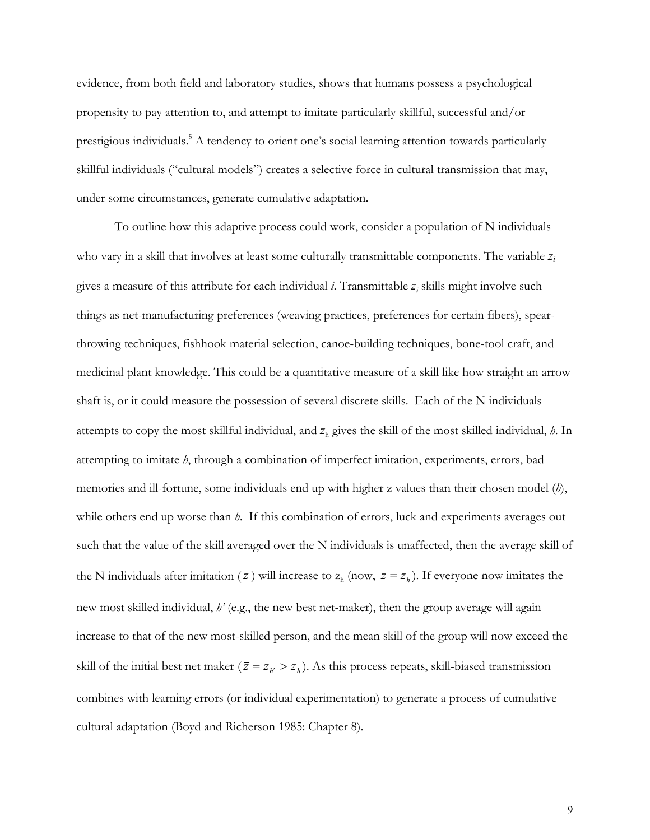evidence, from both field and laboratory studies, shows that humans possess a psychological propensity to pay attention to, and attempt to imitate particularly skillful, successful and/or prestigious individuals.<sup>5</sup> A tendency to orient one's social learning attention towards particularly skillful individuals ("cultural models") creates a selective force in cultural transmission that may, under some circumstances, generate cumulative adaptation.

To outline how this adaptive process could work, consider a population of N individuals who vary in a skill that involves at least some culturally transmittable components. The variable *zi* gives a measure of this attribute for each individual *i*. Transmittable *z<sup>i</sup>* skills might involve such things as net-manufacturing preferences (weaving practices, preferences for certain fibers), spearthrowing techniques, fishhook material selection, canoe-building techniques, bone-tool craft, and medicinal plant knowledge. This could be a quantitative measure of a skill like how straight an arrow shaft is, or it could measure the possession of several discrete skills. Each of the N individuals attempts to copy the most skillful individual, and  $z<sub>h</sub>$  gives the skill of the most skilled individual, *h*. In attempting to imitate *h*, through a combination of imperfect imitation, experiments, errors, bad memories and ill-fortune, some individuals end up with higher z values than their chosen model (*h*), while others end up worse than *h*. If this combination of errors, luck and experiments averages out such that the value of the skill averaged over the N individuals is unaffected, then the average skill of the N individuals after imitation ( $\bar{z}$ ) will increase to  $z_h$  (now,  $\bar{z} = z_h$ ). If everyone now imitates the new most skilled individual, *h'* (e.g., the new best net-maker), then the group average will again increase to that of the new most-skilled person, and the mean skill of the group will now exceed the skill of the initial best net maker ( $\bar{z} = z_h > z_h$ ). As this process repeats, skill-biased transmission combines with learning errors (or individual experimentation) to generate a process of cumulative cultural adaptation (Boyd and Richerson 1985: Chapter 8).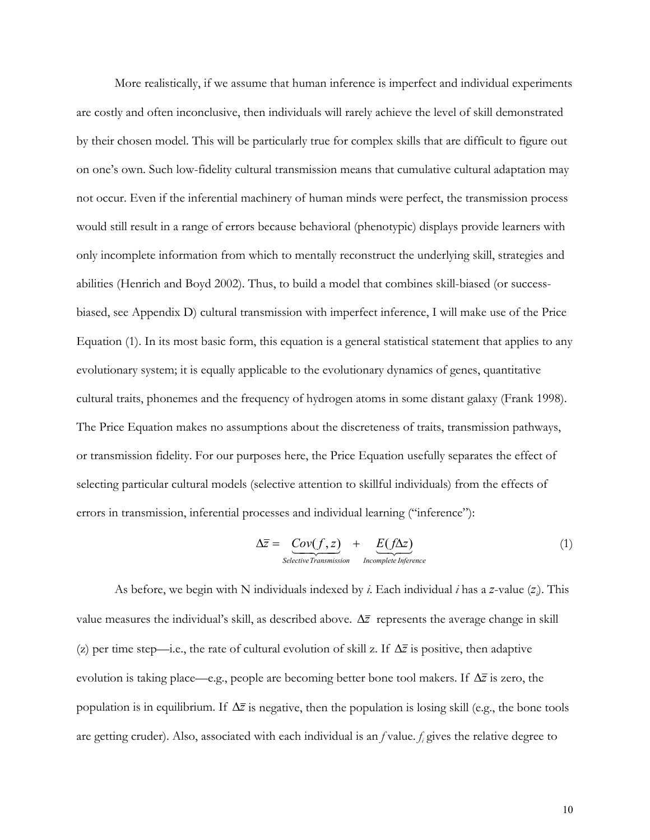More realistically, if we assume that human inference is imperfect and individual experiments are costly and often inconclusive, then individuals will rarely achieve the level of skill demonstrated by their chosen model. This will be particularly true for complex skills that are difficult to figure out on one's own. Such low-fidelity cultural transmission means that cumulative cultural adaptation may not occur. Even if the inferential machinery of human minds were perfect, the transmission process would still result in a range of errors because behavioral (phenotypic) displays provide learners with only incomplete information from which to mentally reconstruct the underlying skill, strategies and abilities (Henrich and Boyd 2002). Thus, to build a model that combines skill-biased (or successbiased, see Appendix D) cultural transmission with imperfect inference, I will make use of the Price Equation (1). In its most basic form, this equation is a general statistical statement that applies to any evolutionary system; it is equally applicable to the evolutionary dynamics of genes, quantitative cultural traits, phonemes and the frequency of hydrogen atoms in some distant galaxy (Frank 1998). The Price Equation makes no assumptions about the discreteness of traits, transmission pathways, or transmission fidelity. For our purposes here, the Price Equation usefully separates the effect of selecting particular cultural models (selective attention to skillful individuals) from the effects of errors in transmission, inferential processes and individual learning ("inference"):

$$
\Delta \overline{z} = \underline{Cov(f, z)} + \underline{E(f\Delta z)}_{\text{Selective Transmission}} \tag{1}
$$

As before, we begin with N individuals indexed by *i*. Each individual *i* has a *z*-value (*z<sup>i</sup>* ). This value measures the individual's skill, as described above. ∆*z* represents the average change in skill (z) per time step—i.e., the rate of cultural evolution of skill z. If  $\Delta \bar{z}$  is positive, then adaptive evolution is taking place—e.g., people are becoming better bone tool makers. If ∆*z* is zero, the population is in equilibrium. If ∆*z* is negative, then the population is losing skill (e.g., the bone tools are getting cruder). Also, associated with each individual is an *f* value. *fi* gives the relative degree to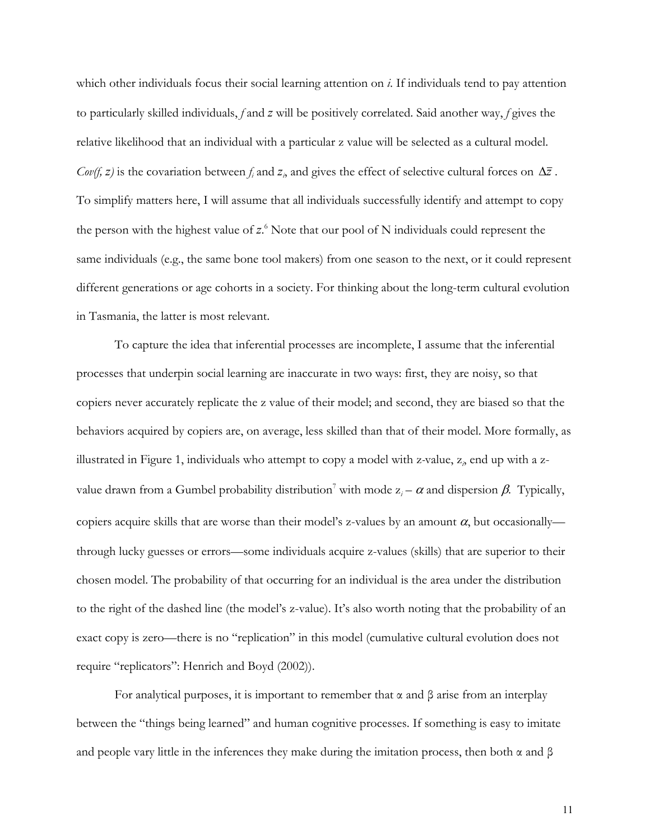which other individuals focus their social learning attention on *i*. If individuals tend to pay attention to particularly skilled individuals, *f* and *z* will be positively correlated. Said another way, *f* gives the relative likelihood that an individual with a particular z value will be selected as a cultural model. *Cov(f, z)* is the covariation between  $f_i$  and  $z_i$ , and gives the effect of selective cultural forces on  $\Delta \bar{z}$ . To simplify matters here, I will assume that all individuals successfully identify and attempt to copy the person with the highest value of z.<sup>6</sup> Note that our pool of N individuals could represent the same individuals (e.g., the same bone tool makers) from one season to the next, or it could represent different generations or age cohorts in a society. For thinking about the long-term cultural evolution in Tasmania, the latter is most relevant.

To capture the idea that inferential processes are incomplete, I assume that the inferential processes that underpin social learning are inaccurate in two ways: first, they are noisy, so that copiers never accurately replicate the z value of their model; and second, they are biased so that the behaviors acquired by copiers are, on average, less skilled than that of their model. More formally, as illustrated in Figure 1, individuals who attempt to copy a model with z*-*value, z*<sup>i</sup>* , end up with a zvalue drawn from a Gumbel probability distribution<sup>7</sup> with mode  $z_i - \alpha$  and dispersion  $\beta$ . Typically, copiers acquire skills that are worse than their model's z-values by an amount  $\alpha$ , but occasionally through lucky guesses or errors—some individuals acquire z-values (skills) that are superior to their chosen model. The probability of that occurring for an individual is the area under the distribution to the right of the dashed line (the model's z-value). It's also worth noting that the probability of an exact copy is zero—there is no "replication" in this model (cumulative cultural evolution does not require "replicators": Henrich and Boyd (2002)).

For analytical purposes, it is important to remember that α and β arise from an interplay between the "things being learned" and human cognitive processes. If something is easy to imitate and people vary little in the inferences they make during the imitation process, then both  $\alpha$  and  $\beta$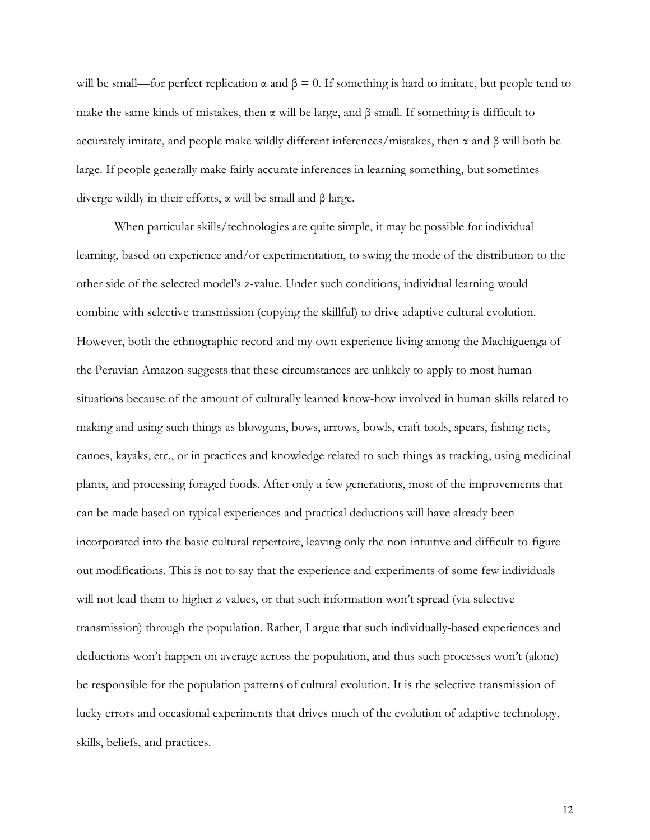will be small—for perfect replication  $\alpha$  and  $\beta = 0$ . If something is hard to imitate, but people tend to make the same kinds of mistakes, then  $\alpha$  will be large, and  $\beta$  small. If something is difficult to accurately imitate, and people make wildly different inferences/mistakes, then α and β will both be large. If people generally make fairly accurate inferences in learning something, but sometimes diverge wildly in their efforts, α will be small and β large.

When particular skills/technologies are quite simple, it may be possible for individual learning, based on experience and/or experimentation, to swing the mode of the distribution to the other side of the selected model's z-value. Under such conditions, individual learning would combine with selective transmission (copying the skillful) to drive adaptive cultural evolution. However, both the ethnographic record and my own experience living among the Machiguenga of the Peruvian Amazon suggests that these circumstances are unlikely to apply to most human situations because of the amount of culturally learned know-how involved in human skills related to making and using such things as blowguns, bows, arrows, bowls, craft tools, spears, fishing nets, canoes, kayaks, etc., or in practices and knowledge related to such things as tracking, using medicinal plants, and processing foraged foods. After only a few generations, most of the improvements that can be made based on typical experiences and practical deductions will have already been incorporated into the basic cultural repertoire, leaving only the non-intuitive and difficult-to-figureout modifications. This is not to say that the experience and experiments of some few individuals will not lead them to higher z-values, or that such information won't spread (via selective transmission) through the population. Rather, I argue that such individually-based experiences and deductions won't happen on average across the population, and thus such processes won't (alone) be responsible for the population patterns of cultural evolution. It is the selective transmission of lucky errors and occasional experiments that drives much of the evolution of adaptive technology, skills, beliefs, and practices.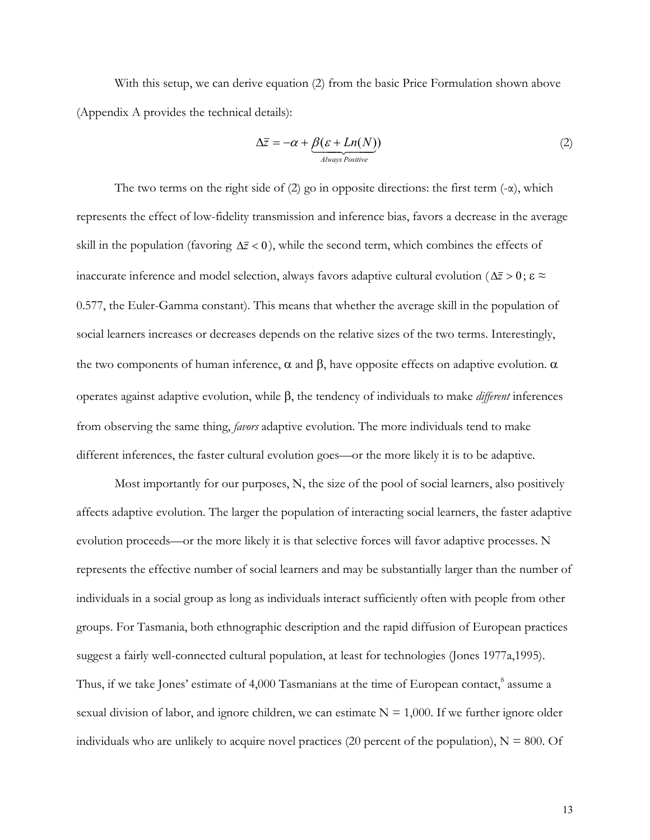With this setup, we can derive equation (2) from the basic Price Formulation shown above (Appendix A provides the technical details):

$$
\Delta \overline{z} = -\alpha + \underbrace{\beta(\varepsilon + Ln(N))}_{\text{Always Positive}} \tag{2}
$$

The two terms on the right side of (2) go in opposite directions: the first term  $(-\alpha)$ , which represents the effect of low-fidelity transmission and inference bias, favors a decrease in the average skill in the population (favoring  $\Delta \bar{z}$  < 0), while the second term, which combines the effects of inaccurate inference and model selection, always favors adaptive cultural evolution ( $\Delta \bar{z} > 0$ ;  $\epsilon \approx$ 0.577, the Euler-Gamma constant). This means that whether the average skill in the population of social learners increases or decreases depends on the relative sizes of the two terms. Interestingly, the two components of human inference,  $\alpha$  and  $\beta$ , have opposite effects on adaptive evolution.  $\alpha$ operates against adaptive evolution, while β, the tendency of individuals to make *different* inferences from observing the same thing, *favors* adaptive evolution. The more individuals tend to make different inferences, the faster cultural evolution goes—or the more likely it is to be adaptive.

Most importantly for our purposes, N, the size of the pool of social learners, also positively affects adaptive evolution. The larger the population of interacting social learners, the faster adaptive evolution proceeds—or the more likely it is that selective forces will favor adaptive processes. N represents the effective number of social learners and may be substantially larger than the number of individuals in a social group as long as individuals interact sufficiently often with people from other groups. For Tasmania, both ethnographic description and the rapid diffusion of European practices suggest a fairly well-connected cultural population, at least for technologies (Jones 1977a,1995). Thus, if we take Jones' estimate of 4,000 Tasmanians at the time of European contact,<sup>8</sup> assume a sexual division of labor, and ignore children, we can estimate  $N = 1,000$ . If we further ignore older individuals who are unlikely to acquire novel practices (20 percent of the population),  $N = 800$ . Of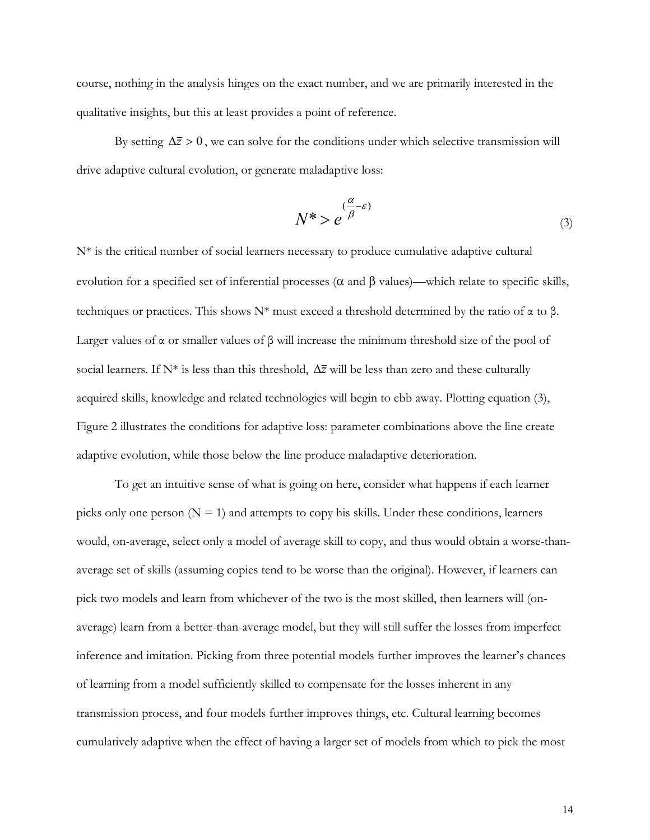course, nothing in the analysis hinges on the exact number, and we are primarily interested in the qualitative insights, but this at least provides a point of reference.

By setting  $\Delta \bar{z} > 0$ , we can solve for the conditions under which selective transmission will drive adaptive cultural evolution, or generate maladaptive loss:

$$
N^* > e^{\frac{(\alpha - \varepsilon)}{\beta}}
$$
 (3)

N<sup>\*</sup> is the critical number of social learners necessary to produce cumulative adaptive cultural evolution for a specified set of inferential processes (α and β values)—which relate to specific skills, techniques or practices. This shows  $N^*$  must exceed a threshold determined by the ratio of α to β. Larger values of  $\alpha$  or smaller values of  $\beta$  will increase the minimum threshold size of the pool of social learners. If N\* is less than this threshold, ∆*z* will be less than zero and these culturally acquired skills, knowledge and related technologies will begin to ebb away. Plotting equation (3), Figure 2 illustrates the conditions for adaptive loss: parameter combinations above the line create adaptive evolution, while those below the line produce maladaptive deterioration.

To get an intuitive sense of what is going on here, consider what happens if each learner picks only one person  $(N = 1)$  and attempts to copy his skills. Under these conditions, learners would, on-average, select only a model of average skill to copy, and thus would obtain a worse-thanaverage set of skills (assuming copies tend to be worse than the original). However, if learners can pick two models and learn from whichever of the two is the most skilled, then learners will (onaverage) learn from a better-than-average model, but they will still suffer the losses from imperfect inference and imitation. Picking from three potential models further improves the learner's chances of learning from a model sufficiently skilled to compensate for the losses inherent in any transmission process, and four models further improves things, etc. Cultural learning becomes cumulatively adaptive when the effect of having a larger set of models from which to pick the most

14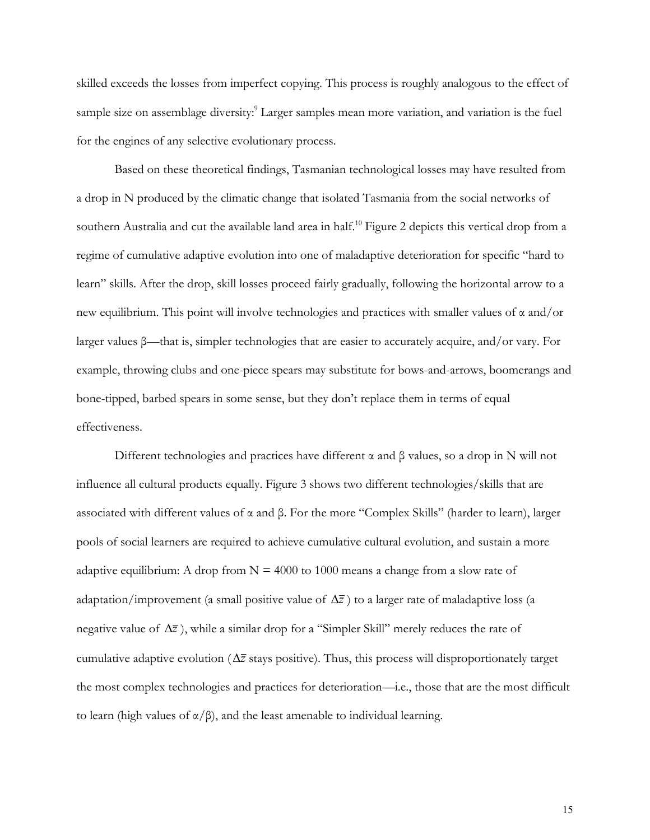skilled exceeds the losses from imperfect copying. This process is roughly analogous to the effect of sample size on assemblage diversity:<sup>9</sup> Larger samples mean more variation, and variation is the fuel for the engines of any selective evolutionary process.

Based on these theoretical findings, Tasmanian technological losses may have resulted from a drop in N produced by the climatic change that isolated Tasmania from the social networks of southern Australia and cut the available land area in half.<sup>10</sup> Figure 2 depicts this vertical drop from a regime of cumulative adaptive evolution into one of maladaptive deterioration for specific "hard to learn" skills. After the drop, skill losses proceed fairly gradually, following the horizontal arrow to a new equilibrium. This point will involve technologies and practices with smaller values of  $\alpha$  and/or larger values β—that is, simpler technologies that are easier to accurately acquire, and/or vary. For example, throwing clubs and one-piece spears may substitute for bows-and-arrows, boomerangs and bone-tipped, barbed spears in some sense, but they don't replace them in terms of equal effectiveness.

Different technologies and practices have different  $\alpha$  and  $\beta$  values, so a drop in N will not influence all cultural products equally. Figure 3 shows two different technologies/skills that are associated with different values of α and β. For the more "Complex Skills" (harder to learn), larger pools of social learners are required to achieve cumulative cultural evolution, and sustain a more adaptive equilibrium: A drop from  $N = 4000$  to 1000 means a change from a slow rate of adaptation/improvement (a small positive value of  $\Delta \bar{z}$ ) to a larger rate of maladaptive loss (a negative value of ∆*z* ), while a similar drop for a "Simpler Skill" merely reduces the rate of cumulative adaptive evolution ( $\Delta \bar{z}$  stays positive). Thus, this process will disproportionately target the most complex technologies and practices for deterioration—i.e., those that are the most difficult to learn (high values of  $\alpha/\beta$ ), and the least amenable to individual learning.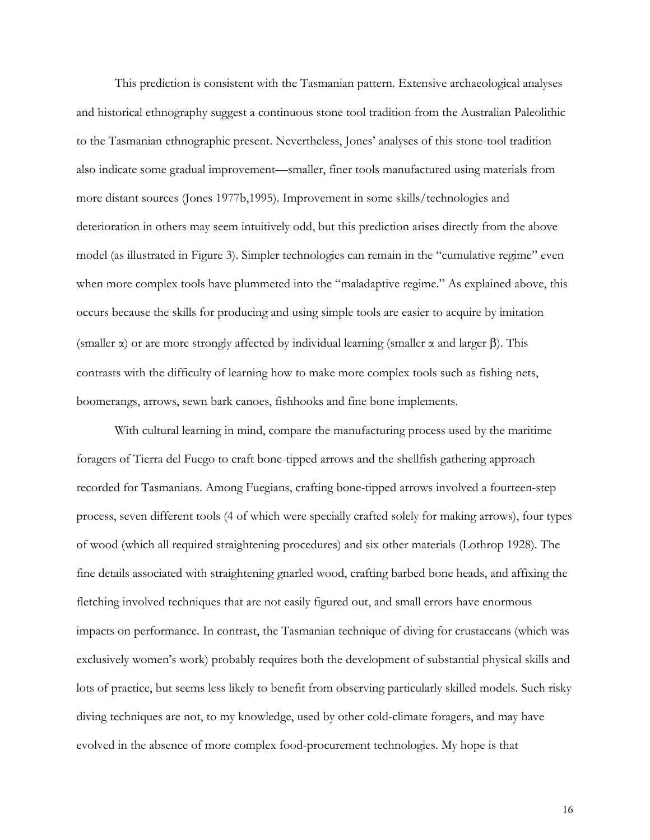This prediction is consistent with the Tasmanian pattern. Extensive archaeological analyses and historical ethnography suggest a continuous stone tool tradition from the Australian Paleolithic to the Tasmanian ethnographic present. Nevertheless, Jones' analyses of this stone-tool tradition also indicate some gradual improvement—smaller, finer tools manufactured using materials from more distant sources (Jones 1977b,1995). Improvement in some skills/technologies and deterioration in others may seem intuitively odd, but this prediction arises directly from the above model (as illustrated in Figure 3). Simpler technologies can remain in the "cumulative regime" even when more complex tools have plummeted into the "maladaptive regime." As explained above, this occurs because the skills for producing and using simple tools are easier to acquire by imitation (smaller  $\alpha$ ) or are more strongly affected by individual learning (smaller  $\alpha$  and larger  $\beta$ ). This contrasts with the difficulty of learning how to make more complex tools such as fishing nets, boomerangs, arrows, sewn bark canoes, fishhooks and fine bone implements.

With cultural learning in mind, compare the manufacturing process used by the maritime foragers of Tierra del Fuego to craft bone-tipped arrows and the shellfish gathering approach recorded for Tasmanians. Among Fuegians, crafting bone-tipped arrows involved a fourteen-step process, seven different tools (4 of which were specially crafted solely for making arrows), four types of wood (which all required straightening procedures) and six other materials (Lothrop 1928). The fine details associated with straightening gnarled wood, crafting barbed bone heads, and affixing the fletching involved techniques that are not easily figured out, and small errors have enormous impacts on performance. In contrast, the Tasmanian technique of diving for crustaceans (which was exclusively women's work) probably requires both the development of substantial physical skills and lots of practice, but seems less likely to benefit from observing particularly skilled models. Such risky diving techniques are not, to my knowledge, used by other cold-climate foragers, and may have evolved in the absence of more complex food-procurement technologies. My hope is that

16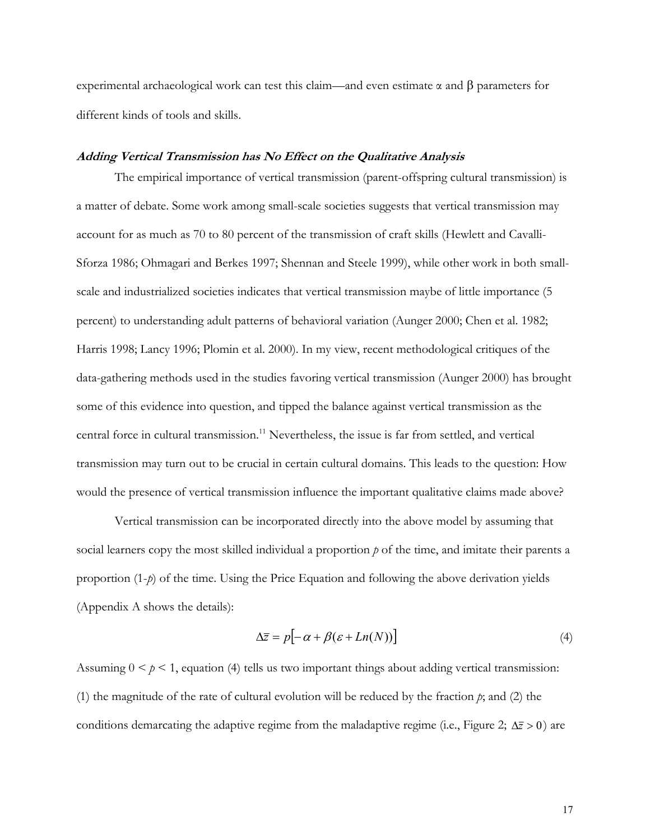experimental archaeological work can test this claim—and even estimate α and β parameters for different kinds of tools and skills.

## **Adding Vertical Transmission has No Effect on the Qualitative Analysis**

The empirical importance of vertical transmission (parent-offspring cultural transmission) is a matter of debate. Some work among small-scale societies suggests that vertical transmission may account for as much as 70 to 80 percent of the transmission of craft skills (Hewlett and Cavalli-Sforza 1986; Ohmagari and Berkes 1997; Shennan and Steele 1999), while other work in both smallscale and industrialized societies indicates that vertical transmission maybe of little importance (5 percent) to understanding adult patterns of behavioral variation (Aunger 2000; Chen et al. 1982; Harris 1998; Lancy 1996; Plomin et al. 2000). In my view, recent methodological critiques of the data-gathering methods used in the studies favoring vertical transmission (Aunger 2000) has brought some of this evidence into question, and tipped the balance against vertical transmission as the central force in cultural transmission.<sup>11</sup> Nevertheless, the issue is far from settled, and vertical transmission may turn out to be crucial in certain cultural domains. This leads to the question: How would the presence of vertical transmission influence the important qualitative claims made above?

Vertical transmission can be incorporated directly into the above model by assuming that social learners copy the most skilled individual a proportion *p* of the time, and imitate their parents a proportion (1-*p*) of the time. Using the Price Equation and following the above derivation yields (Appendix A shows the details):

$$
\Delta \overline{z} = p \big[ -\alpha + \beta(\varepsilon + Ln(N)) \big] \tag{4}
$$

Assuming  $0 \leq p \leq 1$ , equation (4) tells us two important things about adding vertical transmission: (1) the magnitude of the rate of cultural evolution will be reduced by the fraction *p*; and (2) the conditions demarcating the adaptive regime from the maladaptive regime (i.e., Figure 2;  $\Delta \bar{z} > 0$ ) are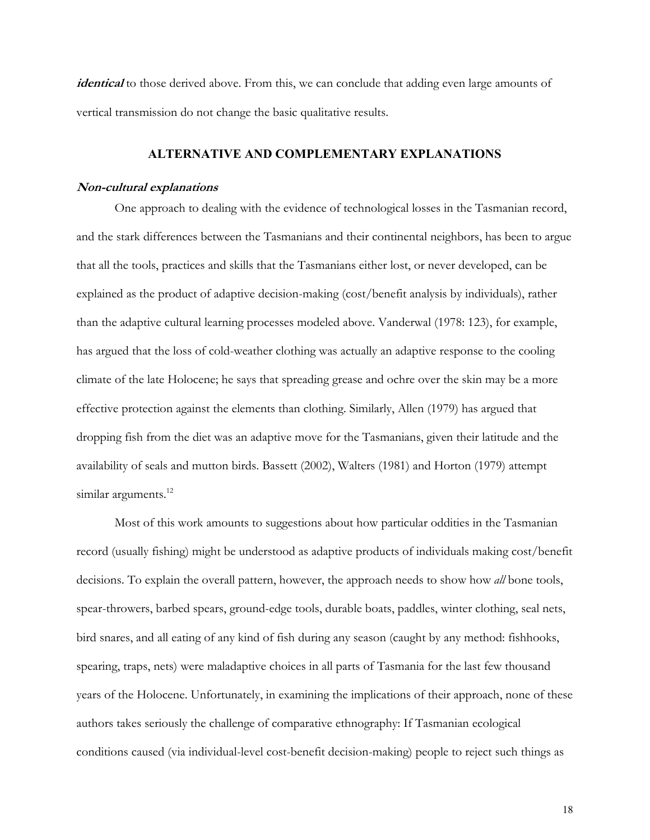*identical* to those derived above. From this, we can conclude that adding even large amounts of vertical transmission do not change the basic qualitative results.

## **ALTERNATIVE AND COMPLEMENTARY EXPLANATIONS**

#### **Non-cultural explanations**

One approach to dealing with the evidence of technological losses in the Tasmanian record, and the stark differences between the Tasmanians and their continental neighbors, has been to argue that all the tools, practices and skills that the Tasmanians either lost, or never developed, can be explained as the product of adaptive decision-making (cost/benefit analysis by individuals), rather than the adaptive cultural learning processes modeled above. Vanderwal (1978: 123), for example, has argued that the loss of cold-weather clothing was actually an adaptive response to the cooling climate of the late Holocene; he says that spreading grease and ochre over the skin may be a more effective protection against the elements than clothing. Similarly, Allen (1979) has argued that dropping fish from the diet was an adaptive move for the Tasmanians, given their latitude and the availability of seals and mutton birds. Bassett (2002), Walters (1981) and Horton (1979) attempt similar arguments.<sup>12</sup>

Most of this work amounts to suggestions about how particular oddities in the Tasmanian record (usually fishing) might be understood as adaptive products of individuals making cost/benefit decisions. To explain the overall pattern, however, the approach needs to show how *all* bone tools, spear-throwers, barbed spears, ground-edge tools, durable boats, paddles, winter clothing, seal nets, bird snares, and all eating of any kind of fish during any season (caught by any method: fishhooks, spearing, traps, nets) were maladaptive choices in all parts of Tasmania for the last few thousand years of the Holocene. Unfortunately, in examining the implications of their approach, none of these authors takes seriously the challenge of comparative ethnography: If Tasmanian ecological conditions caused (via individual-level cost-benefit decision-making) people to reject such things as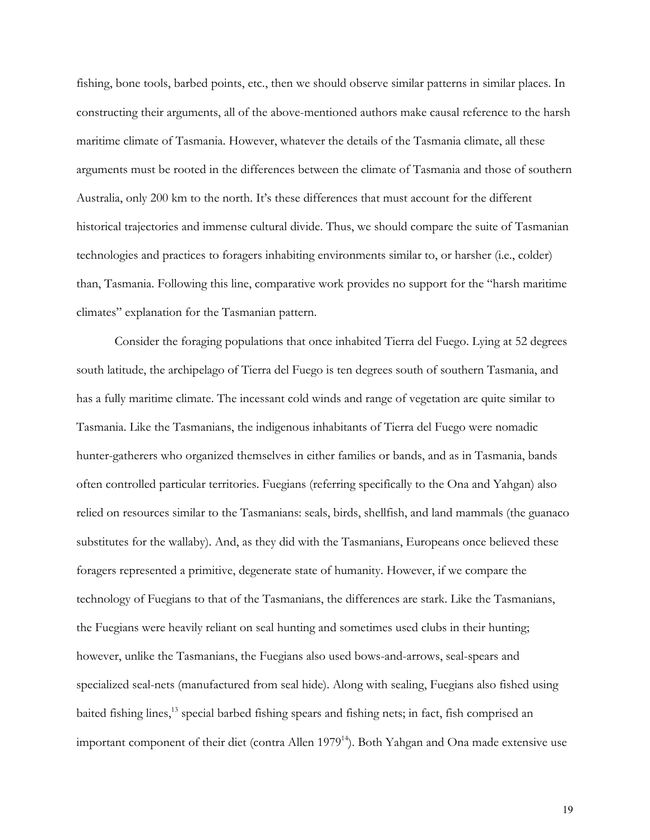fishing, bone tools, barbed points, etc., then we should observe similar patterns in similar places. In constructing their arguments, all of the above-mentioned authors make causal reference to the harsh maritime climate of Tasmania. However, whatever the details of the Tasmania climate, all these arguments must be rooted in the differences between the climate of Tasmania and those of southern Australia, only 200 km to the north. It's these differences that must account for the different historical trajectories and immense cultural divide. Thus, we should compare the suite of Tasmanian technologies and practices to foragers inhabiting environments similar to, or harsher (i.e., colder) than, Tasmania. Following this line, comparative work provides no support for the "harsh maritime climates" explanation for the Tasmanian pattern.

Consider the foraging populations that once inhabited Tierra del Fuego. Lying at 52 degrees south latitude, the archipelago of Tierra del Fuego is ten degrees south of southern Tasmania, and has a fully maritime climate. The incessant cold winds and range of vegetation are quite similar to Tasmania. Like the Tasmanians, the indigenous inhabitants of Tierra del Fuego were nomadic hunter-gatherers who organized themselves in either families or bands, and as in Tasmania, bands often controlled particular territories. Fuegians (referring specifically to the Ona and Yahgan) also relied on resources similar to the Tasmanians: seals, birds, shellfish, and land mammals (the guanaco substitutes for the wallaby). And, as they did with the Tasmanians, Europeans once believed these foragers represented a primitive, degenerate state of humanity. However, if we compare the technology of Fuegians to that of the Tasmanians, the differences are stark. Like the Tasmanians, the Fuegians were heavily reliant on seal hunting and sometimes used clubs in their hunting; however, unlike the Tasmanians, the Fuegians also used bows-and-arrows, seal-spears and specialized seal-nets (manufactured from seal hide). Along with sealing, Fuegians also fished using baited fishing lines,13 special barbed fishing spears and fishing nets; in fact, fish comprised an important component of their diet (contra Allen 1979<sup>14</sup>). Both Yahgan and Ona made extensive use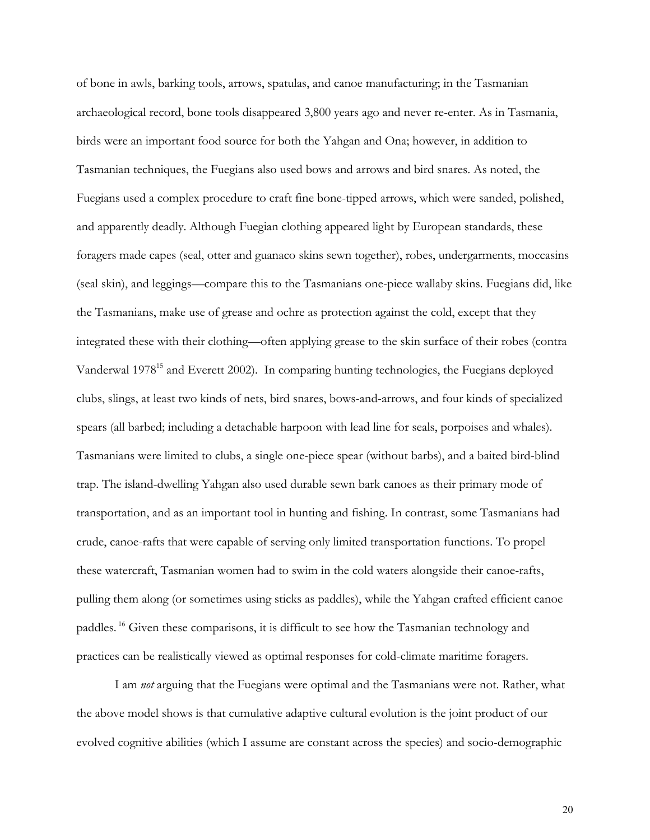of bone in awls, barking tools, arrows, spatulas, and canoe manufacturing; in the Tasmanian archaeological record, bone tools disappeared 3,800 years ago and never re-enter. As in Tasmania, birds were an important food source for both the Yahgan and Ona; however, in addition to Tasmanian techniques, the Fuegians also used bows and arrows and bird snares. As noted, the Fuegians used a complex procedure to craft fine bone-tipped arrows, which were sanded, polished, and apparently deadly. Although Fuegian clothing appeared light by European standards, these foragers made capes (seal, otter and guanaco skins sewn together), robes, undergarments, moccasins (seal skin), and leggings—compare this to the Tasmanians one-piece wallaby skins. Fuegians did, like the Tasmanians, make use of grease and ochre as protection against the cold, except that they integrated these with their clothing—often applying grease to the skin surface of their robes (contra Vanderwal 1978<sup>15</sup> and Everett 2002). In comparing hunting technologies, the Fuegians deployed clubs, slings, at least two kinds of nets, bird snares, bows-and-arrows, and four kinds of specialized spears (all barbed; including a detachable harpoon with lead line for seals, porpoises and whales). Tasmanians were limited to clubs, a single one-piece spear (without barbs), and a baited bird-blind trap. The island-dwelling Yahgan also used durable sewn bark canoes as their primary mode of transportation, and as an important tool in hunting and fishing. In contrast, some Tasmanians had crude, canoe-rafts that were capable of serving only limited transportation functions. To propel these watercraft, Tasmanian women had to swim in the cold waters alongside their canoe-rafts, pulling them along (or sometimes using sticks as paddles), while the Yahgan crafted efficient canoe paddles. 16 Given these comparisons, it is difficult to see how the Tasmanian technology and practices can be realistically viewed as optimal responses for cold-climate maritime foragers.

I am *not* arguing that the Fuegians were optimal and the Tasmanians were not. Rather, what the above model shows is that cumulative adaptive cultural evolution is the joint product of our evolved cognitive abilities (which I assume are constant across the species) and socio-demographic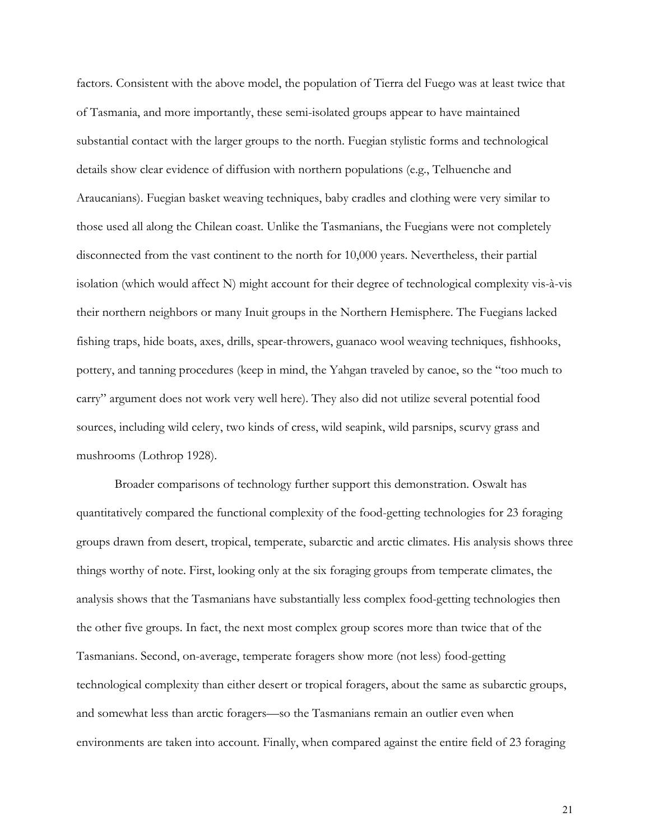factors. Consistent with the above model, the population of Tierra del Fuego was at least twice that of Tasmania, and more importantly, these semi-isolated groups appear to have maintained substantial contact with the larger groups to the north. Fuegian stylistic forms and technological details show clear evidence of diffusion with northern populations (e.g., Telhuenche and Araucanians). Fuegian basket weaving techniques, baby cradles and clothing were very similar to those used all along the Chilean coast. Unlike the Tasmanians, the Fuegians were not completely disconnected from the vast continent to the north for 10,000 years. Nevertheless, their partial isolation (which would affect N) might account for their degree of technological complexity vis-à-vis their northern neighbors or many Inuit groups in the Northern Hemisphere. The Fuegians lacked fishing traps, hide boats, axes, drills, spear-throwers, guanaco wool weaving techniques, fishhooks, pottery, and tanning procedures (keep in mind, the Yahgan traveled by canoe, so the "too much to carry" argument does not work very well here). They also did not utilize several potential food sources, including wild celery, two kinds of cress, wild seapink, wild parsnips, scurvy grass and mushrooms (Lothrop 1928).

Broader comparisons of technology further support this demonstration. Oswalt has quantitatively compared the functional complexity of the food-getting technologies for 23 foraging groups drawn from desert, tropical, temperate, subarctic and arctic climates. His analysis shows three things worthy of note. First, looking only at the six foraging groups from temperate climates, the analysis shows that the Tasmanians have substantially less complex food-getting technologies then the other five groups. In fact, the next most complex group scores more than twice that of the Tasmanians. Second, on-average, temperate foragers show more (not less) food-getting technological complexity than either desert or tropical foragers, about the same as subarctic groups, and somewhat less than arctic foragers—so the Tasmanians remain an outlier even when environments are taken into account. Finally, when compared against the entire field of 23 foraging

21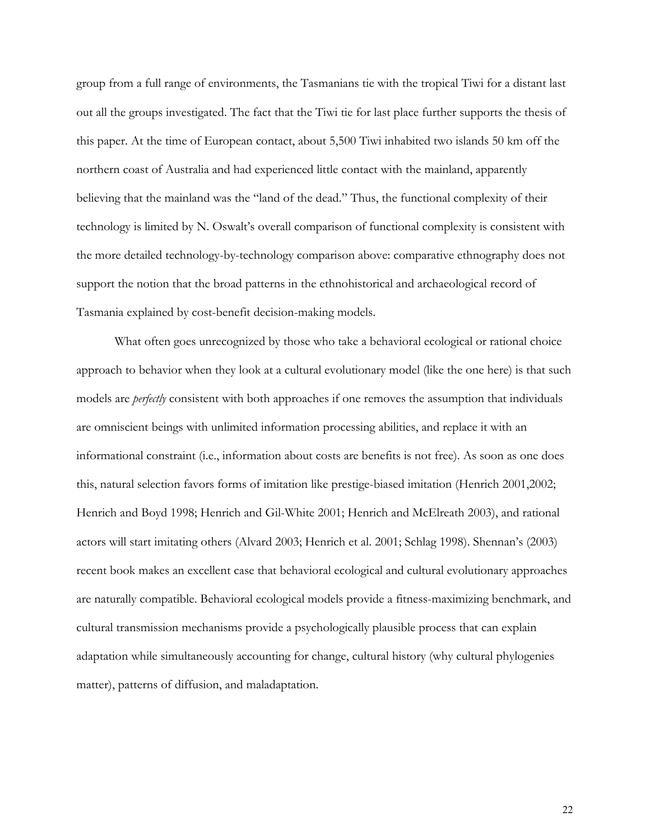group from a full range of environments, the Tasmanians tie with the tropical Tiwi for a distant last out all the groups investigated. The fact that the Tiwi tie for last place further supports the thesis of this paper. At the time of European contact, about 5,500 Tiwi inhabited two islands 50 km off the northern coast of Australia and had experienced little contact with the mainland, apparently believing that the mainland was the "land of the dead." Thus, the functional complexity of their technology is limited by N. Oswalt's overall comparison of functional complexity is consistent with the more detailed technology-by-technology comparison above: comparative ethnography does not support the notion that the broad patterns in the ethnohistorical and archaeological record of Tasmania explained by cost-benefit decision-making models.

What often goes unrecognized by those who take a behavioral ecological or rational choice approach to behavior when they look at a cultural evolutionary model (like the one here) is that such models are *perfectly* consistent with both approaches if one removes the assumption that individuals are omniscient beings with unlimited information processing abilities, and replace it with an informational constraint (i.e., information about costs are benefits is not free). As soon as one does this, natural selection favors forms of imitation like prestige-biased imitation (Henrich 2001,2002; Henrich and Boyd 1998; Henrich and Gil-White 2001; Henrich and McElreath 2003), and rational actors will start imitating others (Alvard 2003; Henrich et al. 2001; Schlag 1998). Shennan's (2003) recent book makes an excellent case that behavioral ecological and cultural evolutionary approaches are naturally compatible. Behavioral ecological models provide a fitness-maximizing benchmark, and cultural transmission mechanisms provide a psychologically plausible process that can explain adaptation while simultaneously accounting for change, cultural history (why cultural phylogenies matter), patterns of diffusion, and maladaptation.

22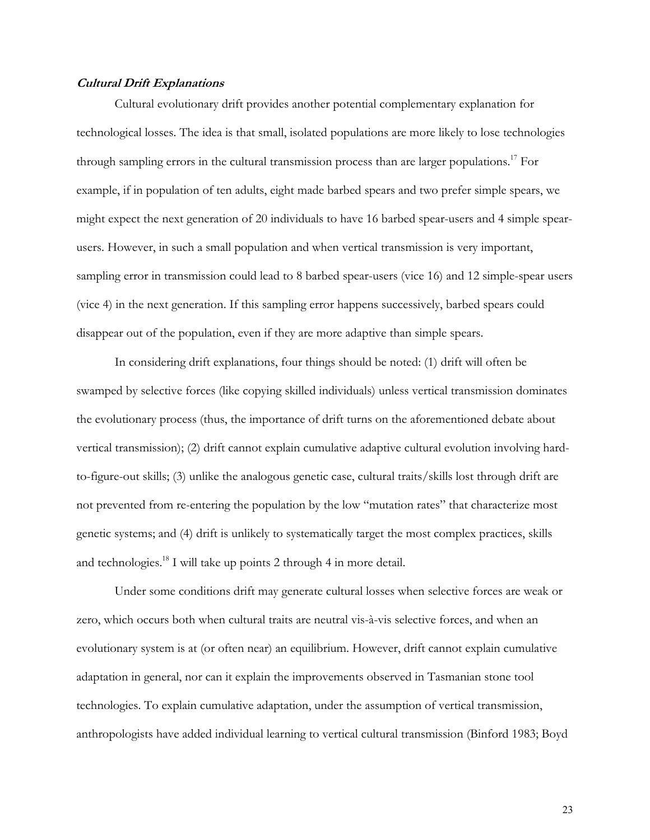### **Cultural Drift Explanations**

Cultural evolutionary drift provides another potential complementary explanation for technological losses. The idea is that small, isolated populations are more likely to lose technologies through sampling errors in the cultural transmission process than are larger populations.<sup>17</sup> For example, if in population of ten adults, eight made barbed spears and two prefer simple spears, we might expect the next generation of 20 individuals to have 16 barbed spear-users and 4 simple spearusers. However, in such a small population and when vertical transmission is very important, sampling error in transmission could lead to 8 barbed spear-users (vice 16) and 12 simple-spear users (vice 4) in the next generation. If this sampling error happens successively, barbed spears could disappear out of the population, even if they are more adaptive than simple spears.

In considering drift explanations, four things should be noted: (1) drift will often be swamped by selective forces (like copying skilled individuals) unless vertical transmission dominates the evolutionary process (thus, the importance of drift turns on the aforementioned debate about vertical transmission); (2) drift cannot explain cumulative adaptive cultural evolution involving hardto-figure-out skills; (3) unlike the analogous genetic case, cultural traits/skills lost through drift are not prevented from re-entering the population by the low "mutation rates" that characterize most genetic systems; and (4) drift is unlikely to systematically target the most complex practices, skills and technologies.18 I will take up points 2 through 4 in more detail.

Under some conditions drift may generate cultural losses when selective forces are weak or zero, which occurs both when cultural traits are neutral vis-à-vis selective forces, and when an evolutionary system is at (or often near) an equilibrium. However, drift cannot explain cumulative adaptation in general, nor can it explain the improvements observed in Tasmanian stone tool technologies. To explain cumulative adaptation, under the assumption of vertical transmission, anthropologists have added individual learning to vertical cultural transmission (Binford 1983; Boyd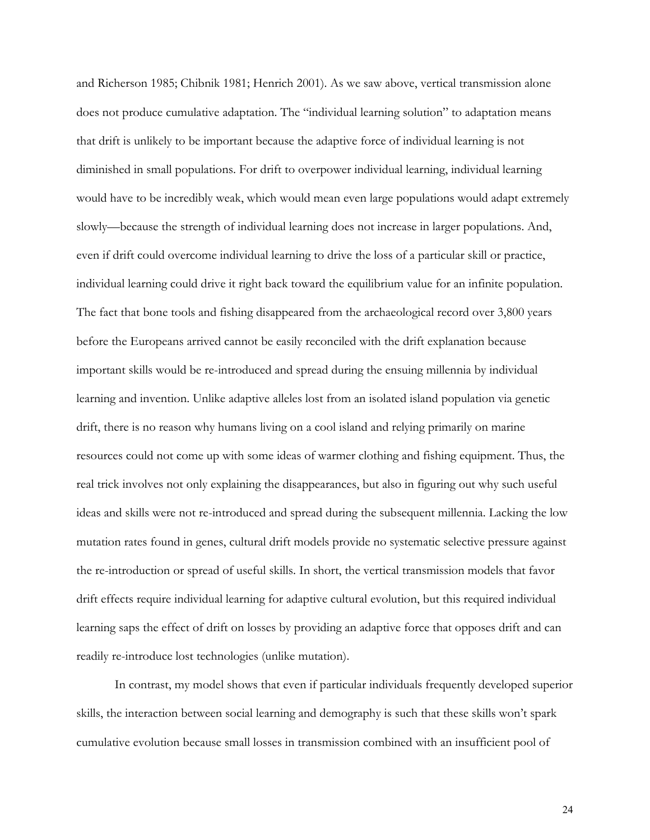and Richerson 1985; Chibnik 1981; Henrich 2001). As we saw above, vertical transmission alone does not produce cumulative adaptation. The "individual learning solution" to adaptation means that drift is unlikely to be important because the adaptive force of individual learning is not diminished in small populations. For drift to overpower individual learning, individual learning would have to be incredibly weak, which would mean even large populations would adapt extremely slowly—because the strength of individual learning does not increase in larger populations. And, even if drift could overcome individual learning to drive the loss of a particular skill or practice, individual learning could drive it right back toward the equilibrium value for an infinite population. The fact that bone tools and fishing disappeared from the archaeological record over 3,800 years before the Europeans arrived cannot be easily reconciled with the drift explanation because important skills would be re-introduced and spread during the ensuing millennia by individual learning and invention. Unlike adaptive alleles lost from an isolated island population via genetic drift, there is no reason why humans living on a cool island and relying primarily on marine resources could not come up with some ideas of warmer clothing and fishing equipment. Thus, the real trick involves not only explaining the disappearances, but also in figuring out why such useful ideas and skills were not re-introduced and spread during the subsequent millennia. Lacking the low mutation rates found in genes, cultural drift models provide no systematic selective pressure against the re-introduction or spread of useful skills. In short, the vertical transmission models that favor drift effects require individual learning for adaptive cultural evolution, but this required individual learning saps the effect of drift on losses by providing an adaptive force that opposes drift and can readily re-introduce lost technologies (unlike mutation).

In contrast, my model shows that even if particular individuals frequently developed superior skills, the interaction between social learning and demography is such that these skills won't spark cumulative evolution because small losses in transmission combined with an insufficient pool of

24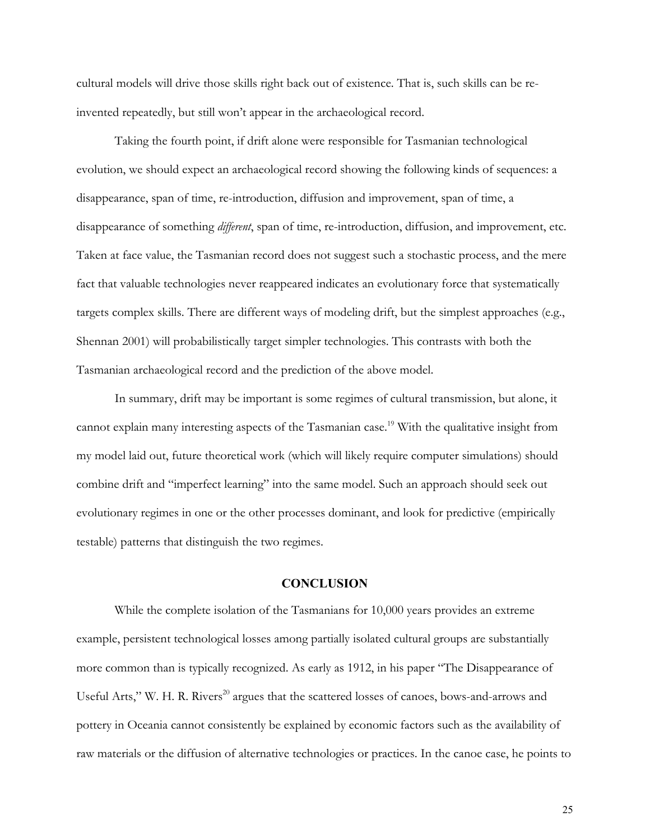cultural models will drive those skills right back out of existence. That is, such skills can be reinvented repeatedly, but still won't appear in the archaeological record.

Taking the fourth point, if drift alone were responsible for Tasmanian technological evolution, we should expect an archaeological record showing the following kinds of sequences: a disappearance, span of time, re-introduction, diffusion and improvement, span of time, a disappearance of something *different*, span of time, re-introduction, diffusion, and improvement, etc. Taken at face value, the Tasmanian record does not suggest such a stochastic process, and the mere fact that valuable technologies never reappeared indicates an evolutionary force that systematically targets complex skills. There are different ways of modeling drift, but the simplest approaches (e.g., Shennan 2001) will probabilistically target simpler technologies. This contrasts with both the Tasmanian archaeological record and the prediction of the above model.

In summary, drift may be important is some regimes of cultural transmission, but alone, it cannot explain many interesting aspects of the Tasmanian case.<sup>19</sup> With the qualitative insight from my model laid out, future theoretical work (which will likely require computer simulations) should combine drift and "imperfect learning" into the same model. Such an approach should seek out evolutionary regimes in one or the other processes dominant, and look for predictive (empirically testable) patterns that distinguish the two regimes.

## **CONCLUSION**

While the complete isolation of the Tasmanians for 10,000 years provides an extreme example, persistent technological losses among partially isolated cultural groups are substantially more common than is typically recognized. As early as 1912, in his paper "The Disappearance of Useful Arts," W. H. R. Rivers<sup>20</sup> argues that the scattered losses of canoes, bows-and-arrows and pottery in Oceania cannot consistently be explained by economic factors such as the availability of raw materials or the diffusion of alternative technologies or practices. In the canoe case, he points to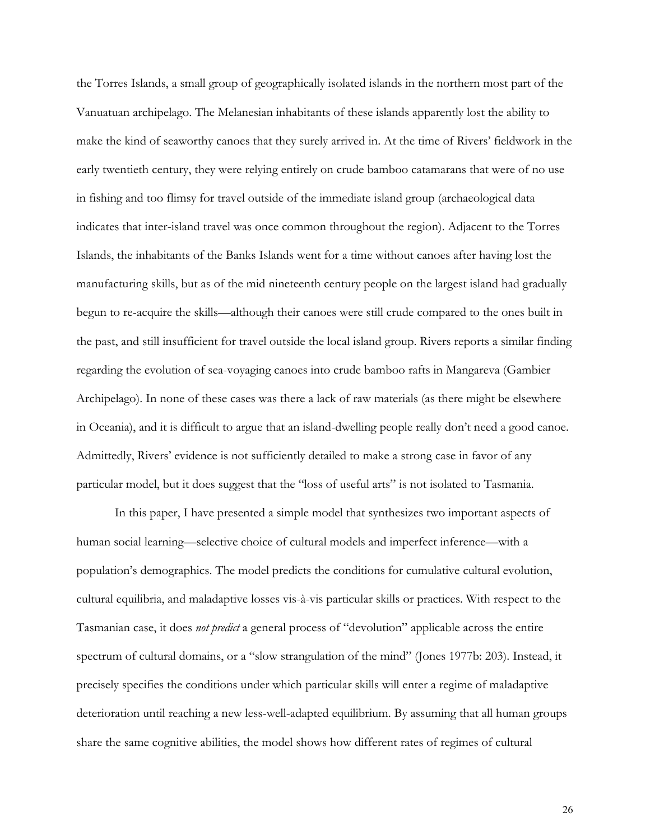the Torres Islands, a small group of geographically isolated islands in the northern most part of the Vanuatuan archipelago. The Melanesian inhabitants of these islands apparently lost the ability to make the kind of seaworthy canoes that they surely arrived in. At the time of Rivers' fieldwork in the early twentieth century, they were relying entirely on crude bamboo catamarans that were of no use in fishing and too flimsy for travel outside of the immediate island group (archaeological data indicates that inter-island travel was once common throughout the region). Adjacent to the Torres Islands, the inhabitants of the Banks Islands went for a time without canoes after having lost the manufacturing skills, but as of the mid nineteenth century people on the largest island had gradually begun to re-acquire the skills—although their canoes were still crude compared to the ones built in the past, and still insufficient for travel outside the local island group. Rivers reports a similar finding regarding the evolution of sea-voyaging canoes into crude bamboo rafts in Mangareva (Gambier Archipelago). In none of these cases was there a lack of raw materials (as there might be elsewhere in Oceania), and it is difficult to argue that an island-dwelling people really don't need a good canoe. Admittedly, Rivers' evidence is not sufficiently detailed to make a strong case in favor of any particular model, but it does suggest that the "loss of useful arts" is not isolated to Tasmania.

In this paper, I have presented a simple model that synthesizes two important aspects of human social learning—selective choice of cultural models and imperfect inference—with a population's demographics. The model predicts the conditions for cumulative cultural evolution, cultural equilibria, and maladaptive losses vis-à-vis particular skills or practices. With respect to the Tasmanian case, it does *not predict* a general process of "devolution" applicable across the entire spectrum of cultural domains, or a "slow strangulation of the mind" (Jones 1977b: 203). Instead, it precisely specifies the conditions under which particular skills will enter a regime of maladaptive deterioration until reaching a new less-well-adapted equilibrium. By assuming that all human groups share the same cognitive abilities, the model shows how different rates of regimes of cultural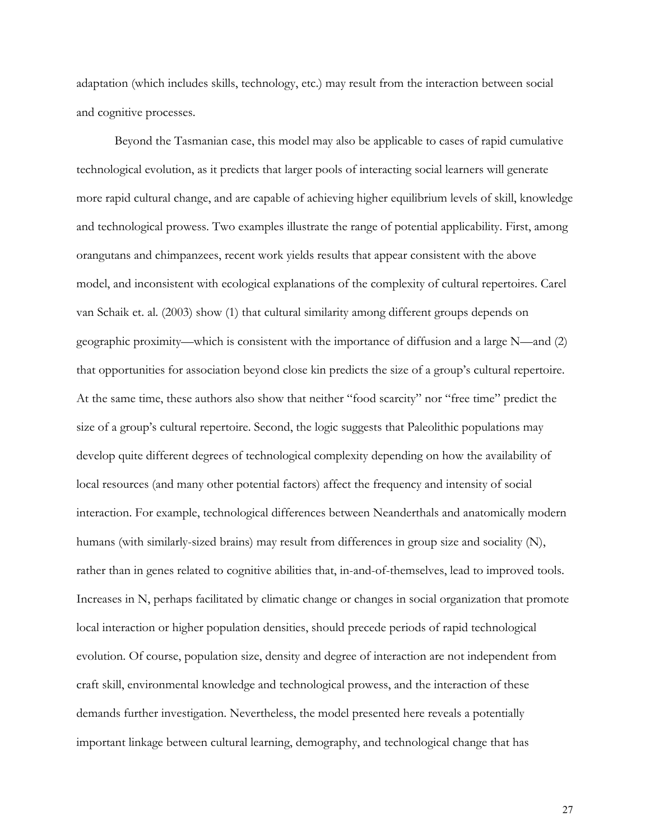adaptation (which includes skills, technology, etc.) may result from the interaction between social and cognitive processes.

Beyond the Tasmanian case, this model may also be applicable to cases of rapid cumulative technological evolution, as it predicts that larger pools of interacting social learners will generate more rapid cultural change, and are capable of achieving higher equilibrium levels of skill, knowledge and technological prowess. Two examples illustrate the range of potential applicability. First, among orangutans and chimpanzees, recent work yields results that appear consistent with the above model, and inconsistent with ecological explanations of the complexity of cultural repertoires. Carel van Schaik et. al. (2003) show (1) that cultural similarity among different groups depends on geographic proximity—which is consistent with the importance of diffusion and a large N—and (2) that opportunities for association beyond close kin predicts the size of a group's cultural repertoire. At the same time, these authors also show that neither "food scarcity" nor "free time" predict the size of a group's cultural repertoire. Second, the logic suggests that Paleolithic populations may develop quite different degrees of technological complexity depending on how the availability of local resources (and many other potential factors) affect the frequency and intensity of social interaction. For example, technological differences between Neanderthals and anatomically modern humans (with similarly-sized brains) may result from differences in group size and sociality (N), rather than in genes related to cognitive abilities that, in-and-of-themselves, lead to improved tools. Increases in N, perhaps facilitated by climatic change or changes in social organization that promote local interaction or higher population densities, should precede periods of rapid technological evolution. Of course, population size, density and degree of interaction are not independent from craft skill, environmental knowledge and technological prowess, and the interaction of these demands further investigation. Nevertheless, the model presented here reveals a potentially important linkage between cultural learning, demography, and technological change that has

27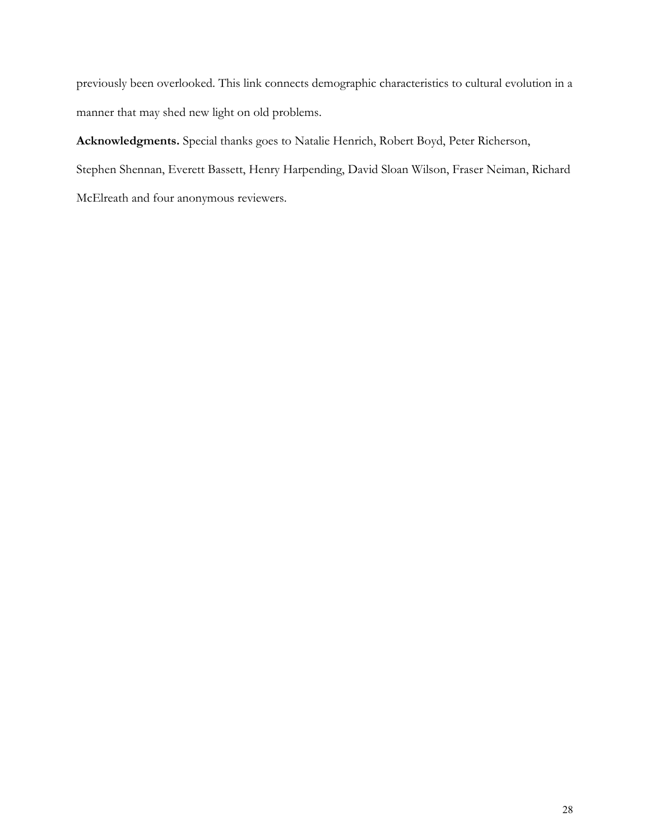previously been overlooked. This link connects demographic characteristics to cultural evolution in a manner that may shed new light on old problems.

**Acknowledgments.** Special thanks goes to Natalie Henrich, Robert Boyd, Peter Richerson, Stephen Shennan, Everett Bassett, Henry Harpending, David Sloan Wilson, Fraser Neiman, Richard McElreath and four anonymous reviewers.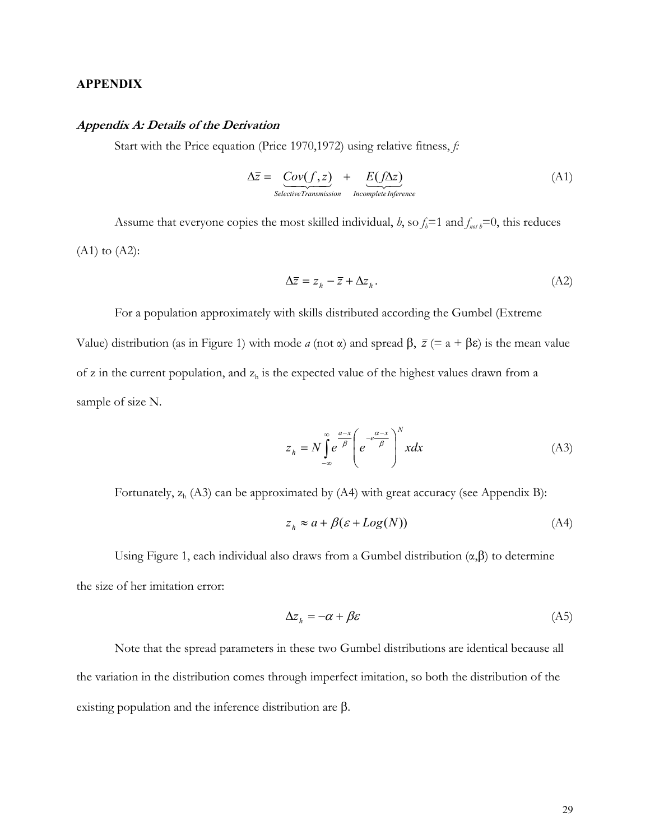## **APPENDIX**

#### **Appendix A: Details of the Derivation**

Start with the Price equation (Price 1970,1972) using relative fitness, *f:*

$$
\Delta \overline{z} = \underbrace{Cov(f, z)}_{Selective Transmission} + \underbrace{E(f \Delta z)}_{Incomplete Inference} \tag{A1}
$$

Assume that everyone copies the most skilled individual, *h*, so  $f_h = 1$  and  $f_{net} = 0$ , this reduces  $(A1)$  to  $(A2)$ :

$$
\Delta \overline{z} = z_h - \overline{z} + \Delta z_h. \tag{A2}
$$

For a population approximately with skills distributed according the Gumbel (Extreme Value) distribution (as in Figure 1) with mode *a* (not α) and spread  $\beta$ ,  $\bar{z}$  (= a + βε) is the mean value of z in the current population, and  $z<sub>h</sub>$  is the expected value of the highest values drawn from a sample of size N.

$$
z_h = N \int_{-\infty}^{\infty} e^{-\frac{a-x}{\beta}} \left( e^{-e^{\frac{a-x}{\beta}}} \right)^N x dx \tag{A3}
$$

Fortunately,  $z_h$  (A3) can be approximated by (A4) with great accuracy (see Appendix B):

$$
z_h \approx a + \beta(\varepsilon + Log(N))\tag{A4}
$$

Using Figure 1, each individual also draws from a Gumbel distribution  $(\alpha, \beta)$  to determine the size of her imitation error:

$$
\Delta z_h = -\alpha + \beta \varepsilon \tag{A5}
$$

Note that the spread parameters in these two Gumbel distributions are identical because all the variation in the distribution comes through imperfect imitation, so both the distribution of the existing population and the inference distribution are β.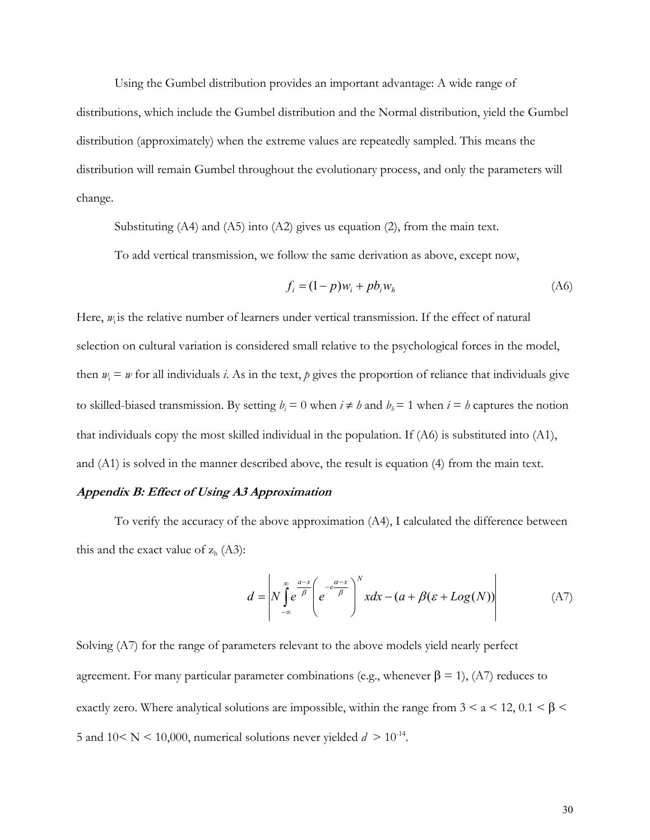Using the Gumbel distribution provides an important advantage: A wide range of distributions, which include the Gumbel distribution and the Normal distribution, yield the Gumbel distribution (approximately) when the extreme values are repeatedly sampled. This means the distribution will remain Gumbel throughout the evolutionary process, and only the parameters will

change.

Substituting  $(A4)$  and  $(A5)$  into  $(A2)$  gives us equation  $(2)$ , from the main text.

To add vertical transmission, we follow the same derivation as above, except now,

$$
f_i = (1 - p)w_i + pb_i w_h \tag{A6}
$$

Here,  $w_i$  is the relative number of learners under vertical transmission. If the effect of natural selection on cultural variation is considered small relative to the psychological forces in the model, then  $w_i = w$  for all individuals *i*. As in the text, *p* gives the proportion of reliance that individuals give to skilled-biased transmission. By setting  $b_i = 0$  when  $i \neq b$  and  $b_j = 1$  when  $i = b$  captures the notion that individuals copy the most skilled individual in the population. If (A6) is substituted into (A1), and (A1) is solved in the manner described above, the result is equation (4) from the main text.

#### **Appendix B: Effect of Using A3 Approximation**

To verify the accuracy of the above approximation (A4), I calculated the difference between this and the exact value of  $z<sub>h</sub>$  (A3):

$$
d = \left| N \int_{-\infty}^{\infty} e^{-\frac{a-x}{\beta}} \left( e^{-e^{-\frac{a-x}{\beta}}} \right)^N x dx - (a + \beta(\varepsilon + Log(N)) \right| \tag{A7}
$$

Solving (A7) for the range of parameters relevant to the above models yield nearly perfect agreement. For many particular parameter combinations (e.g., whenever  $β = 1$ ), (A7) reduces to exactly zero. Where analytical solutions are impossible, within the range from  $3 \le a \le 12$ ,  $0.1 \le \beta \le$ 5 and  $10 \le N \le 10,000$ , numerical solutions never yielded  $d > 10^{-14}$ .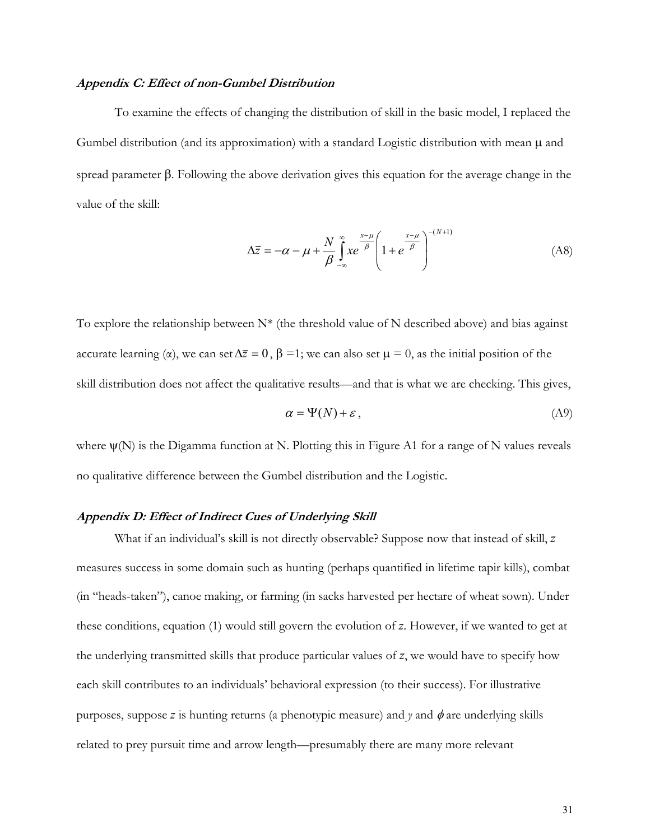#### **Appendix C: Effect of non-Gumbel Distribution**

 To examine the effects of changing the distribution of skill in the basic model, I replaced the Gumbel distribution (and its approximation) with a standard Logistic distribution with mean  $\mu$  and spread parameter β. Following the above derivation gives this equation for the average change in the value of the skill:

$$
\Delta \overline{z} = -\alpha - \mu + \frac{N}{\beta} \int_{-\infty}^{\infty} x e^{-\beta} \left( 1 + e^{-\beta} \right)^{-(N+1)}
$$
(A8)

To explore the relationship between  $N^*$  (the threshold value of N described above) and bias against accurate learning ( $\alpha$ ), we can set  $\Delta \overline{z} = 0$ ,  $\beta = 1$ ; we can also set  $\mu = 0$ , as the initial position of the skill distribution does not affect the qualitative results—and that is what we are checking. This gives,

$$
\alpha = \Psi(N) + \varepsilon, \tag{A9}
$$

where  $\psi(N)$  is the Digamma function at N. Plotting this in Figure A1 for a range of N values reveals no qualitative difference between the Gumbel distribution and the Logistic.

## **Appendix D: Effect of Indirect Cues of Underlying Skill**

What if an individual's skill is not directly observable? Suppose now that instead of skill, *z* measures success in some domain such as hunting (perhaps quantified in lifetime tapir kills), combat (in "heads-taken"), canoe making, or farming (in sacks harvested per hectare of wheat sown). Under these conditions, equation (1) would still govern the evolution of *z*. However, if we wanted to get at the underlying transmitted skills that produce particular values of *z*, we would have to specify how each skill contributes to an individuals' behavioral expression (to their success). For illustrative purposes, suppose *z* is hunting returns (a phenotypic measure) and  $\gamma$  and  $\phi$  are underlying skills related to prey pursuit time and arrow length—presumably there are many more relevant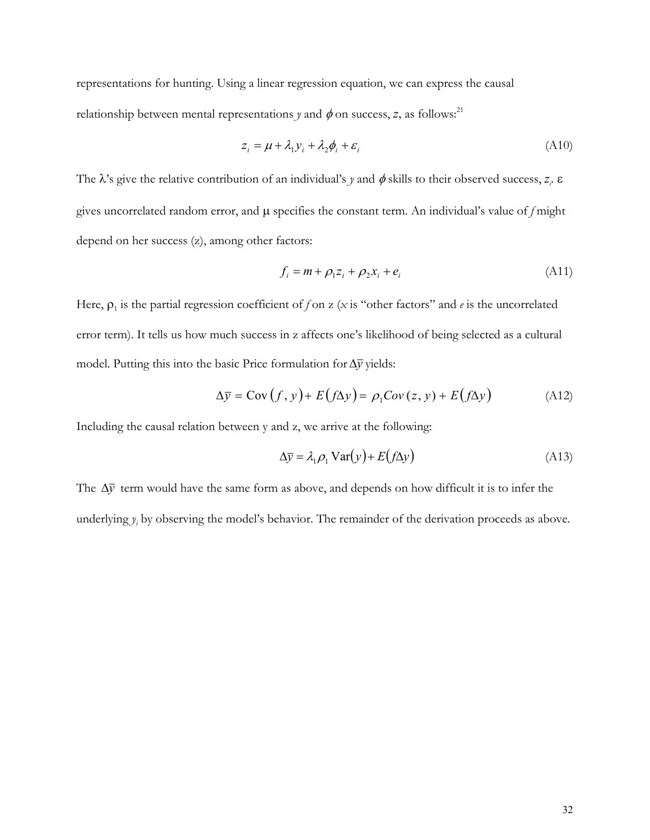representations for hunting. Using a linear regression equation, we can express the causal relationship between mental representations *y* and  $\phi$  on success, *z*, as follows:<sup>21</sup>

$$
z_i = \mu + \lambda_1 y_i + \lambda_2 \phi_i + \varepsilon_i \tag{A10}
$$

The  $\lambda$ 's give the relative contribution of an individual's *y* and  $\phi$  skills to their observed success,  $z_i$ .  $\varepsilon$ gives uncorrelated random error, and µ specifies the constant term. An individual's value of *f* might depend on her success (z), among other factors:

$$
f_i = m + \rho_1 z_i + \rho_2 x_i + e_i \tag{A11}
$$

Here,  $\rho_1$  is the partial regression coefficient of *f* on z (*x* is "other factors" and *e* is the uncorrelated error term). It tells us how much success in z affects one's likelihood of being selected as a cultural model. Putting this into the basic Price formulation for∆*y* yields:

$$
\Delta \overline{y} = \text{Cov}(f, y) + E(f \Delta y) = \rho_1 \text{Cov}(z, y) + E(f \Delta y)
$$
 (A12)

Including the causal relation between y and z, we arrive at the following:

$$
\Delta \bar{y} = \lambda_1 \rho_1 \text{Var}(y) + E(f \Delta y) \tag{A13}
$$

The ∆*y* term would have the same form as above, and depends on how difficult it is to infer the underlying  $y_i$  by observing the model's behavior. The remainder of the derivation proceeds as above.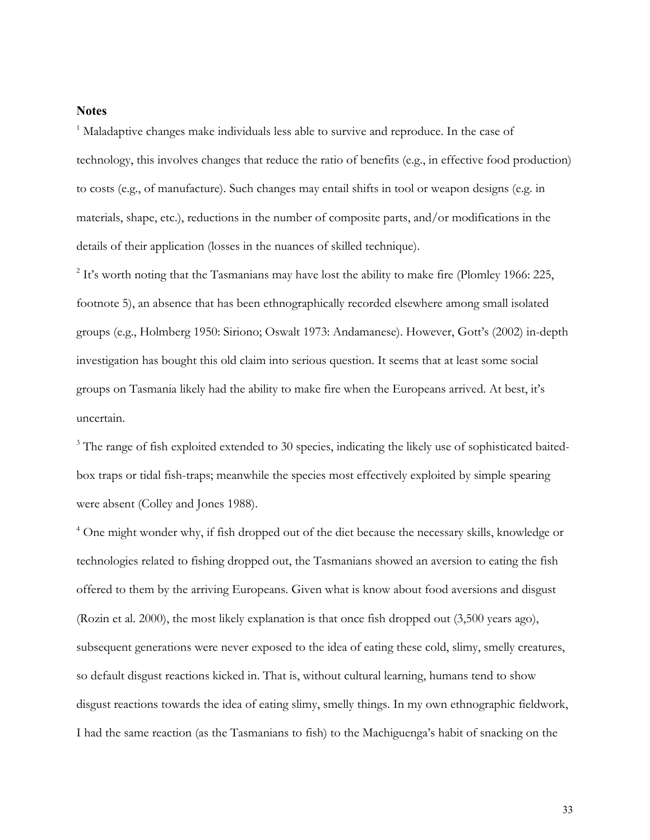## **Notes**

<sup>1</sup> Maladaptive changes make individuals less able to survive and reproduce. In the case of technology, this involves changes that reduce the ratio of benefits (e.g., in effective food production) to costs (e.g., of manufacture). Such changes may entail shifts in tool or weapon designs (e.g. in materials, shape, etc.), reductions in the number of composite parts, and/or modifications in the details of their application (losses in the nuances of skilled technique).

 $2$  It's worth noting that the Tasmanians may have lost the ability to make fire (Plomley 1966: 225, footnote 5), an absence that has been ethnographically recorded elsewhere among small isolated groups (e.g., Holmberg 1950: Siriono; Oswalt 1973: Andamanese). However, Gott's (2002) in-depth investigation has bought this old claim into serious question. It seems that at least some social groups on Tasmania likely had the ability to make fire when the Europeans arrived. At best, it's uncertain.

<sup>3</sup> The range of fish exploited extended to 30 species, indicating the likely use of sophisticated baitedbox traps or tidal fish-traps; meanwhile the species most effectively exploited by simple spearing were absent (Colley and Jones 1988).

<sup>4</sup> One might wonder why, if fish dropped out of the diet because the necessary skills, knowledge or technologies related to fishing dropped out, the Tasmanians showed an aversion to eating the fish offered to them by the arriving Europeans. Given what is know about food aversions and disgust (Rozin et al. 2000), the most likely explanation is that once fish dropped out (3,500 years ago), subsequent generations were never exposed to the idea of eating these cold, slimy, smelly creatures, so default disgust reactions kicked in. That is, without cultural learning, humans tend to show disgust reactions towards the idea of eating slimy, smelly things. In my own ethnographic fieldwork, I had the same reaction (as the Tasmanians to fish) to the Machiguenga's habit of snacking on the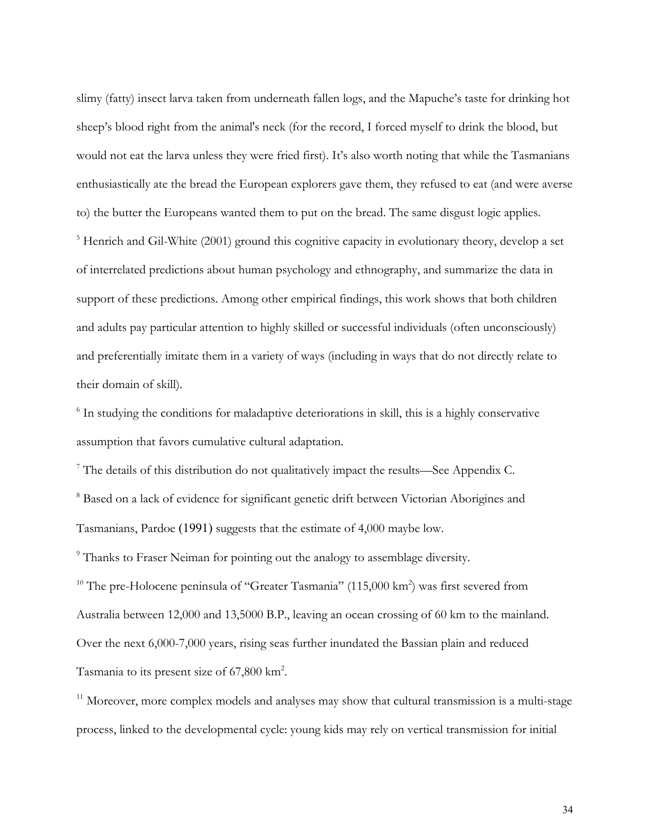slimy (fatty) insect larva taken from underneath fallen logs, and the Mapuche's taste for drinking hot sheep's blood right from the animal's neck (for the record, I forced myself to drink the blood, but would not eat the larva unless they were fried first). It's also worth noting that while the Tasmanians enthusiastically ate the bread the European explorers gave them, they refused to eat (and were averse to) the butter the Europeans wanted them to put on the bread. The same disgust logic applies. <sup>5</sup> Henrich and Gil-White (2001) ground this cognitive capacity in evolutionary theory, develop a set of interrelated predictions about human psychology and ethnography, and summarize the data in support of these predictions. Among other empirical findings, this work shows that both children and adults pay particular attention to highly skilled or successful individuals (often unconsciously) and preferentially imitate them in a variety of ways (including in ways that do not directly relate to their domain of skill).

<sup>6</sup> In studying the conditions for maladaptive deteriorations in skill, this is a highly conservative assumption that favors cumulative cultural adaptation.

<sup>7</sup> The details of this distribution do not qualitatively impact the results—See Appendix C. <sup>8</sup> Based on a lack of evidence for significant genetic drift between Victorian Aborigines and Tasmanians, Pardoe (1991) suggests that the estimate of 4,000 maybe low.

<sup>9</sup> Thanks to Fraser Neiman for pointing out the analogy to assemblage diversity.

<sup>10</sup> The pre-Holocene peninsula of "Greater Tasmania" (115,000 km<sup>2</sup>) was first severed from Australia between 12,000 and 13,5000 B.P., leaving an ocean crossing of 60 km to the mainland. Over the next 6,000-7,000 years, rising seas further inundated the Bassian plain and reduced Tasmania to its present size of  $67,800$  km<sup>2</sup>.

 $11$  Moreover, more complex models and analyses may show that cultural transmission is a multi-stage process, linked to the developmental cycle: young kids may rely on vertical transmission for initial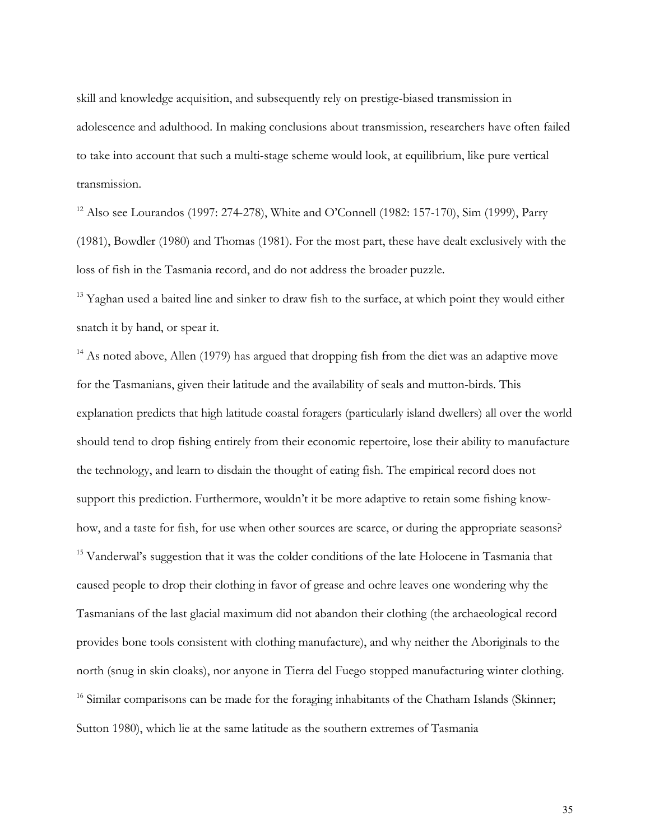skill and knowledge acquisition, and subsequently rely on prestige-biased transmission in adolescence and adulthood. In making conclusions about transmission, researchers have often failed to take into account that such a multi-stage scheme would look, at equilibrium, like pure vertical transmission.

<sup>12</sup> Also see Lourandos (1997: 274-278), White and O'Connell (1982: 157-170), Sim (1999), Parry (1981), Bowdler (1980) and Thomas (1981). For the most part, these have dealt exclusively with the loss of fish in the Tasmania record, and do not address the broader puzzle.

<sup>13</sup> Yaghan used a baited line and sinker to draw fish to the surface, at which point they would either snatch it by hand, or spear it.

 $14$  As noted above, Allen (1979) has argued that dropping fish from the diet was an adaptive move for the Tasmanians, given their latitude and the availability of seals and mutton-birds. This explanation predicts that high latitude coastal foragers (particularly island dwellers) all over the world should tend to drop fishing entirely from their economic repertoire, lose their ability to manufacture the technology, and learn to disdain the thought of eating fish. The empirical record does not support this prediction. Furthermore, wouldn't it be more adaptive to retain some fishing knowhow, and a taste for fish, for use when other sources are scarce, or during the appropriate seasons? <sup>15</sup> Vanderwal's suggestion that it was the colder conditions of the late Holocene in Tasmania that caused people to drop their clothing in favor of grease and ochre leaves one wondering why the Tasmanians of the last glacial maximum did not abandon their clothing (the archaeological record provides bone tools consistent with clothing manufacture), and why neither the Aboriginals to the north (snug in skin cloaks), nor anyone in Tierra del Fuego stopped manufacturing winter clothing.  $16$  Similar comparisons can be made for the foraging inhabitants of the Chatham Islands (Skinner; Sutton 1980), which lie at the same latitude as the southern extremes of Tasmania

35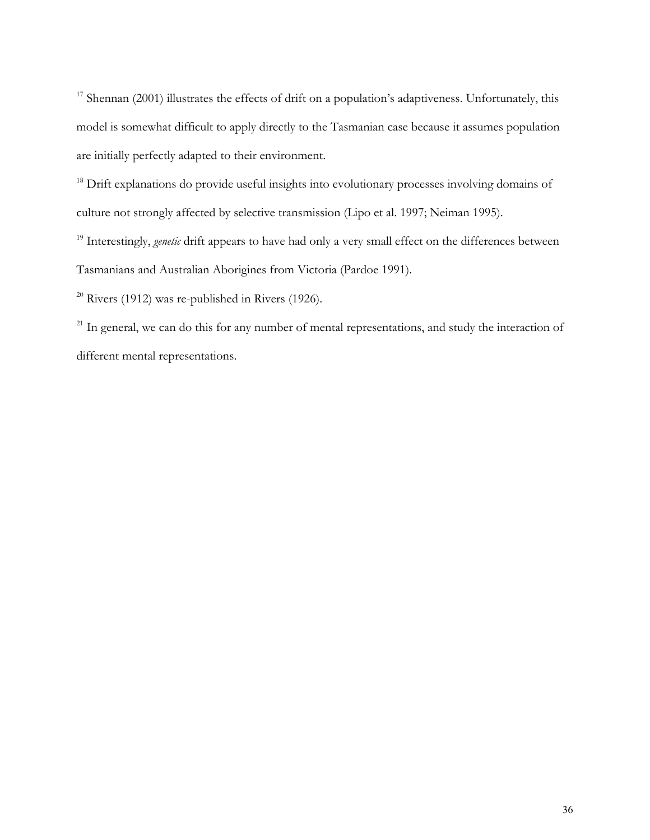<sup>17</sup> Shennan (2001) illustrates the effects of drift on a population's adaptiveness. Unfortunately, this model is somewhat difficult to apply directly to the Tasmanian case because it assumes population are initially perfectly adapted to their environment.

<sup>18</sup> Drift explanations do provide useful insights into evolutionary processes involving domains of culture not strongly affected by selective transmission (Lipo et al. 1997; Neiman 1995).

<sup>19</sup> Interestingly, *genetic* drift appears to have had only a very small effect on the differences between Tasmanians and Australian Aborigines from Victoria (Pardoe 1991).

 $20$  Rivers (1912) was re-published in Rivers (1926).

<sup>21</sup> In general, we can do this for any number of mental representations, and study the interaction of different mental representations.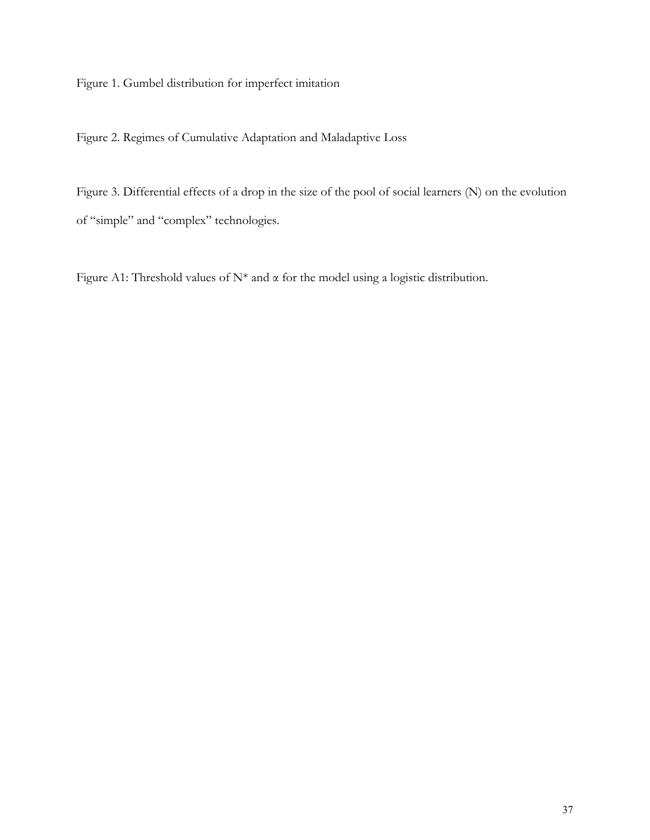Figure 1. Gumbel distribution for imperfect imitation

Figure 2. Regimes of Cumulative Adaptation and Maladaptive Loss

Figure 3. Differential effects of a drop in the size of the pool of social learners (N) on the evolution of "simple" and "complex" technologies.

Figure A1: Threshold values of N\* and α for the model using a logistic distribution.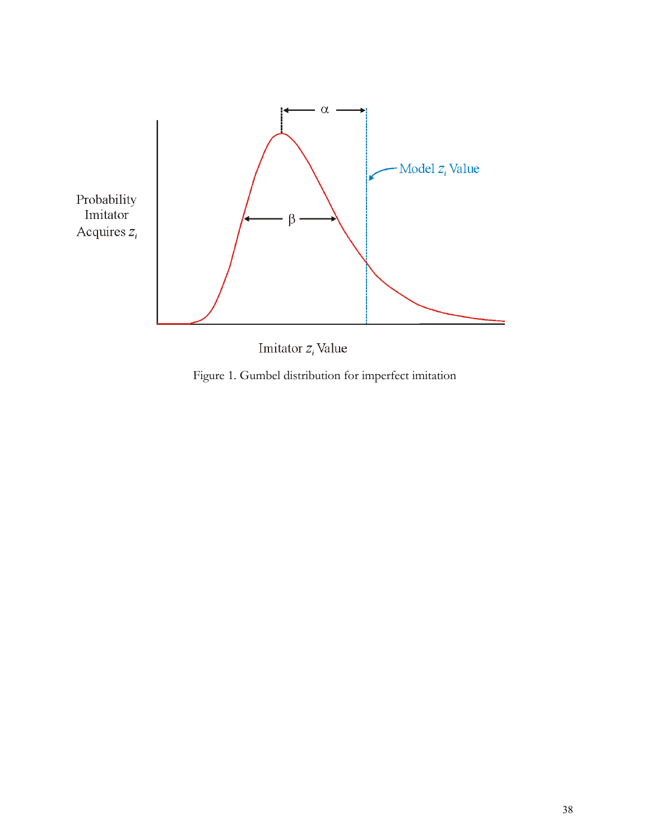



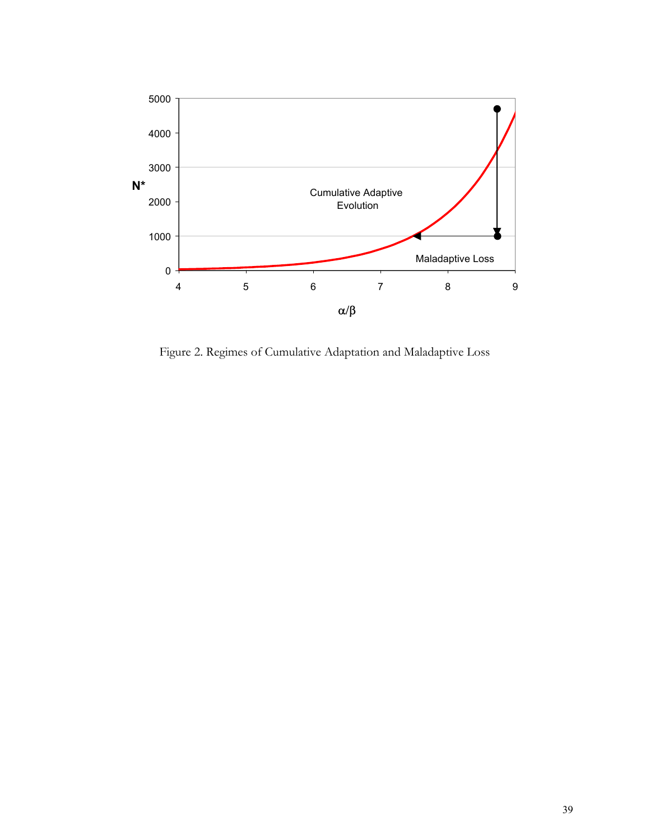

Figure 2. Regimes of Cumulative Adaptation and Maladaptive Loss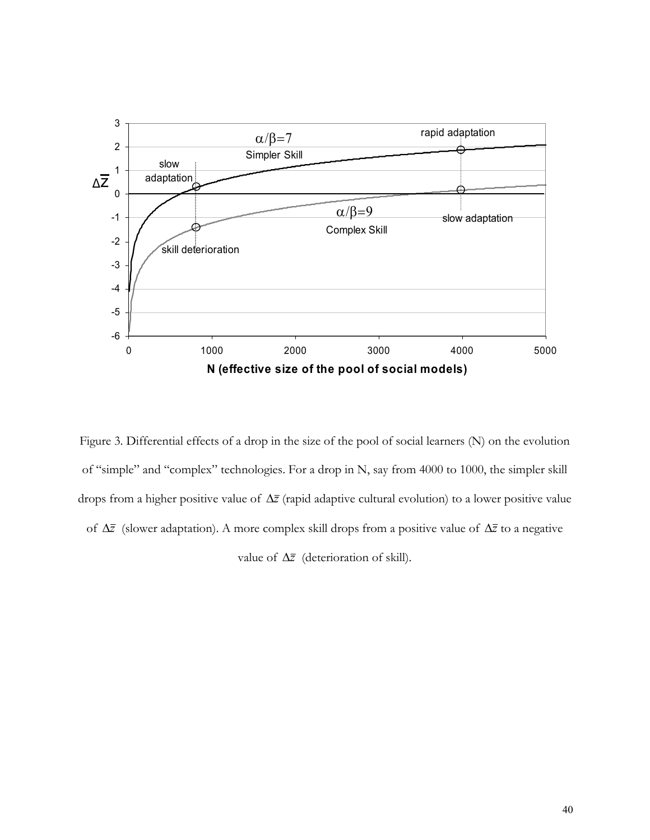

Figure 3. Differential effects of a drop in the size of the pool of social learners (N) on the evolution of "simple" and "complex" technologies. For a drop in N, say from 4000 to 1000, the simpler skill drops from a higher positive value of ∆*z* (rapid adaptive cultural evolution) to a lower positive value of ∆*z* (slower adaptation). A more complex skill drops from a positive value of ∆*z* to a negative value of ∆*z* (deterioration of skill).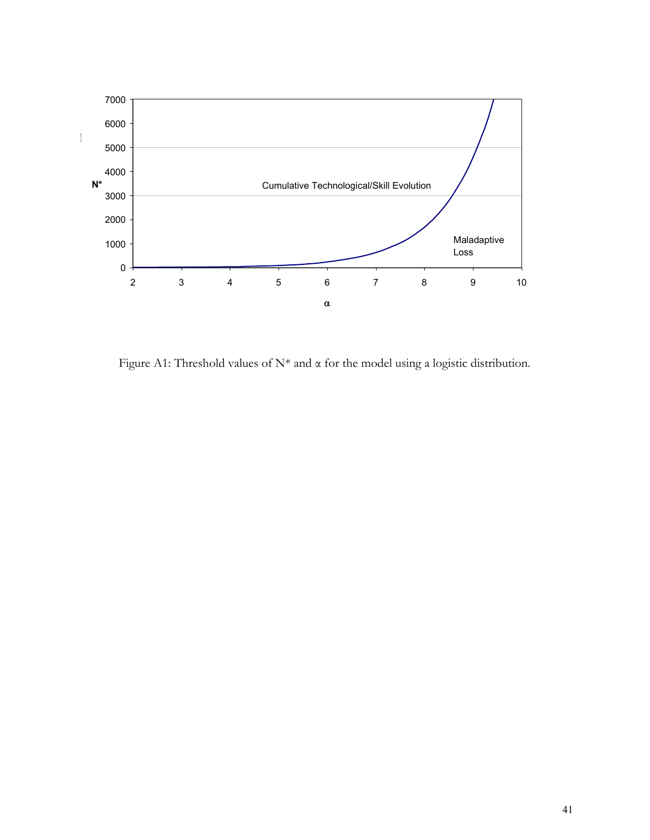

Figure A1: Threshold values of  $N^*$  and  $\alpha$  for the model using a logistic distribution.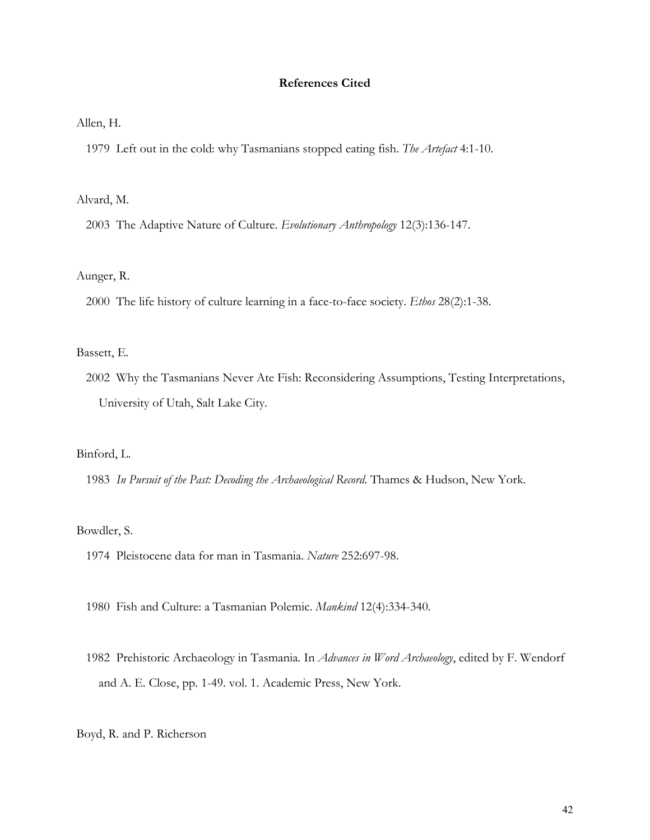## **References Cited**

Allen, H.

1979 Left out in the cold: why Tasmanians stopped eating fish. *The Artefact* 4:1-10.

Alvard, M.

2003 The Adaptive Nature of Culture. *Evolutionary Anthropology* 12(3):136-147.

#### Aunger, R.

2000 The life history of culture learning in a face-to-face society. *Ethos* 28(2):1-38.

#### Bassett, E.

 2002 Why the Tasmanians Never Ate Fish: Reconsidering Assumptions, Testing Interpretations, University of Utah, Salt Lake City.

## Binford, L.

1983 *In Pursuit of the Past: Decoding the Archaeological Record*. Thames & Hudson, New York.

## Bowdler, S.

1974 Pleistocene data for man in Tasmania. *Nature* 252:697-98.

1980 Fish and Culture: a Tasmanian Polemic. *Mankind* 12(4):334-340.

 1982 Prehistoric Archaeology in Tasmania*.* In *Advances in Word Archaeology*, edited by F. Wendorf and A. E. Close, pp. 1-49. vol. 1. Academic Press, New York.

Boyd, R. and P. Richerson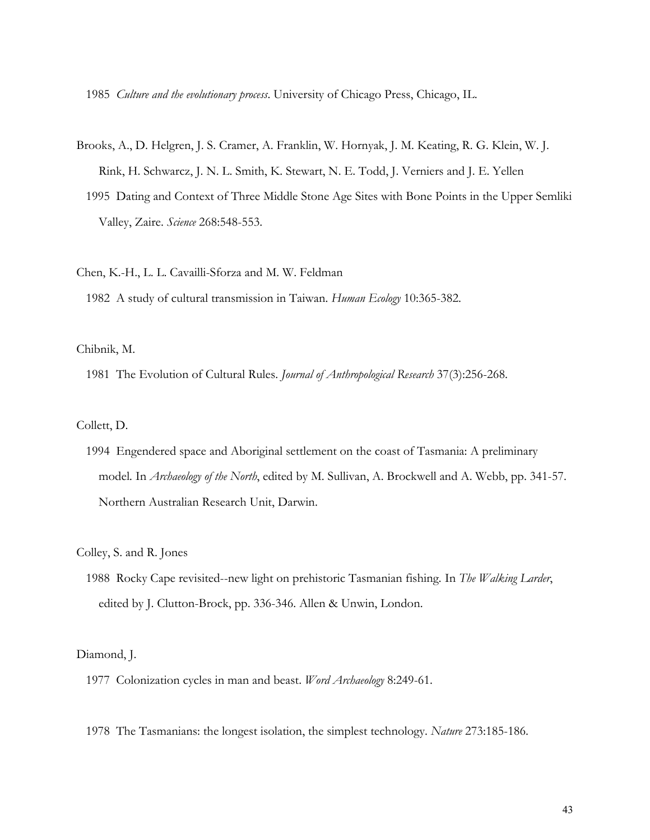1985 *Culture and the evolutionary process*. University of Chicago Press, Chicago, IL.

- Brooks, A., D. Helgren, J. S. Cramer, A. Franklin, W. Hornyak, J. M. Keating, R. G. Klein, W. J. Rink, H. Schwarcz, J. N. L. Smith, K. Stewart, N. E. Todd, J. Verniers and J. E. Yellen
	- 1995 Dating and Context of Three Middle Stone Age Sites with Bone Points in the Upper Semliki Valley, Zaire. *Science* 268:548-553.

Chen, K.-H., L. L. Cavailli-Sforza and M. W. Feldman

1982 A study of cultural transmission in Taiwan. *Human Ecology* 10:365-382.

Chibnik, M.

1981 The Evolution of Cultural Rules. *Journal of Anthropological Research* 37(3):256-268.

Collett, D.

 1994 Engendered space and Aboriginal settlement on the coast of Tasmania: A preliminary model*.* In *Archaeology of the North*, edited by M. Sullivan, A. Brockwell and A. Webb, pp. 341-57. Northern Australian Research Unit, Darwin.

Colley, S. and R. Jones

 1988 Rocky Cape revisited--new light on prehistoric Tasmanian fishing*.* In *The Walking Larder*, edited by J. Clutton-Brock, pp. 336-346. Allen & Unwin, London.

Diamond, J.

- 1977 Colonization cycles in man and beast. *Word Archaeology* 8:249-61.
- 1978 The Tasmanians: the longest isolation, the simplest technology. *Nature* 273:185-186.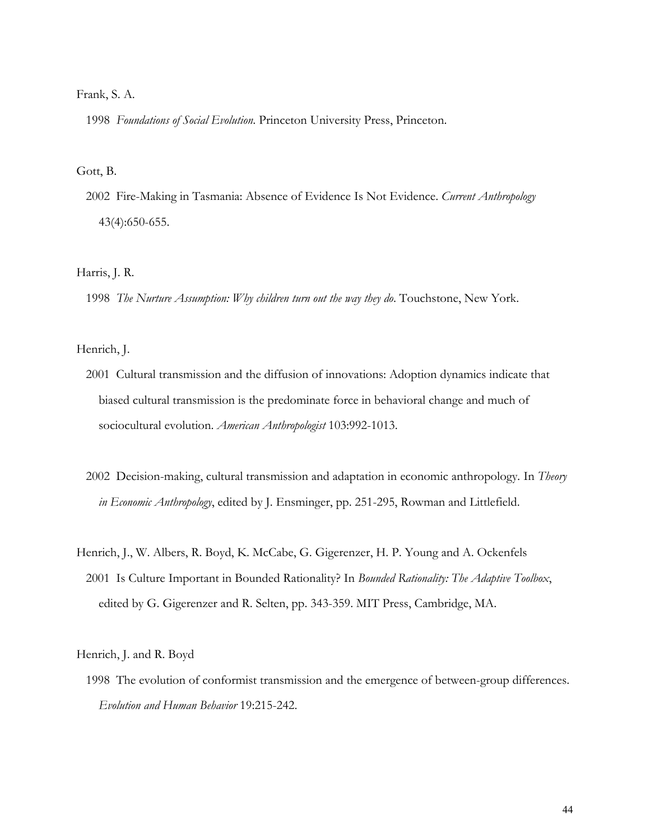#### Frank, S. A.

1998 *Foundations of Social Evolution*. Princeton University Press, Princeton.

#### Gott, B.

 2002 Fire-Making in Tasmania: Absence of Evidence Is Not Evidence. *Current Anthropology* 43(4):650-655.

## Harris, J. R.

1998 *The Nurture Assumption: Why children turn out the way they do*. Touchstone, New York.

#### Henrich, J.

- 2001 Cultural transmission and the diffusion of innovations: Adoption dynamics indicate that biased cultural transmission is the predominate force in behavioral change and much of sociocultural evolution. *American Anthropologist* 103:992-1013.
- 2002 Decision-making, cultural transmission and adaptation in economic anthropology*.* In *Theory in Economic Anthropology*, edited by J. Ensminger, pp. 251-295, Rowman and Littlefield.
- Henrich, J., W. Albers, R. Boyd, K. McCabe, G. Gigerenzer, H. P. Young and A. Ockenfels 2001 Is Culture Important in Bounded Rationality? In *Bounded Rationality: The Adaptive Toolbox*, edited by G. Gigerenzer and R. Selten, pp. 343-359. MIT Press, Cambridge, MA.

Henrich, J. and R. Boyd

 1998 The evolution of conformist transmission and the emergence of between-group differences. *Evolution and Human Behavior* 19:215-242.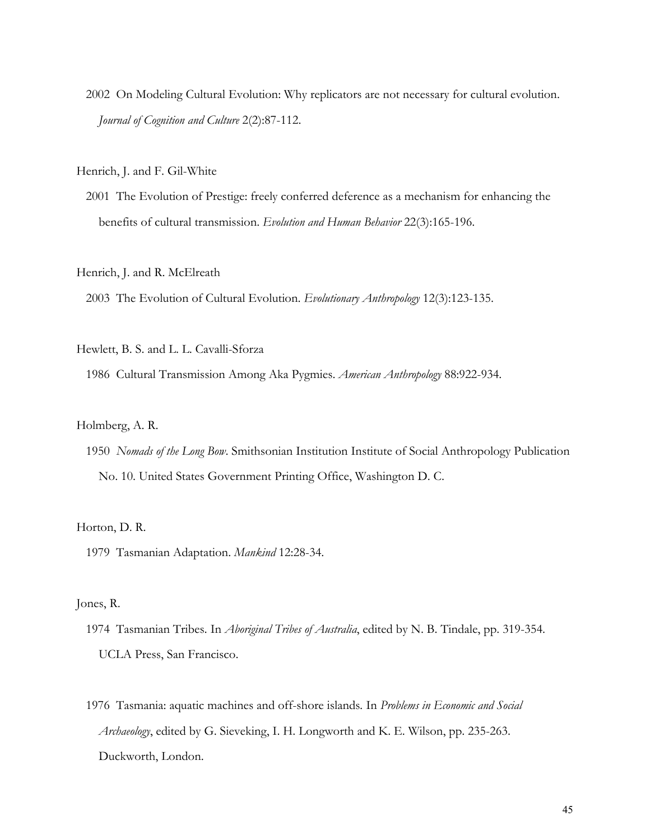2002 On Modeling Cultural Evolution: Why replicators are not necessary for cultural evolution. *Journal of Cognition and Culture* 2(2):87-112.

Henrich, J. and F. Gil-White

 2001 The Evolution of Prestige: freely conferred deference as a mechanism for enhancing the benefits of cultural transmission. *Evolution and Human Behavior* 22(3):165-196.

Henrich, J. and R. McElreath

2003 The Evolution of Cultural Evolution. *Evolutionary Anthropology* 12(3):123-135.

#### Hewlett, B. S. and L. L. Cavalli-Sforza

1986 Cultural Transmission Among Aka Pygmies. *American Anthropology* 88:922-934.

## Holmberg, A. R.

 1950 *Nomads of the Long Bow*. Smithsonian Institution Institute of Social Anthropology Publication No. 10. United States Government Printing Office, Washington D. C.

#### Horton, D. R.

1979 Tasmanian Adaptation. *Mankind* 12:28-34.

#### Jones, R.

- 1974 Tasmanian Tribes*.* In *Aboriginal Tribes of Australia*, edited by N. B. Tindale, pp. 319-354. UCLA Press, San Francisco.
- 1976 Tasmania: aquatic machines and off-shore islands*.* In *Problems in Economic and Social Archaeology*, edited by G. Sieveking, I. H. Longworth and K. E. Wilson, pp. 235-263. Duckworth, London.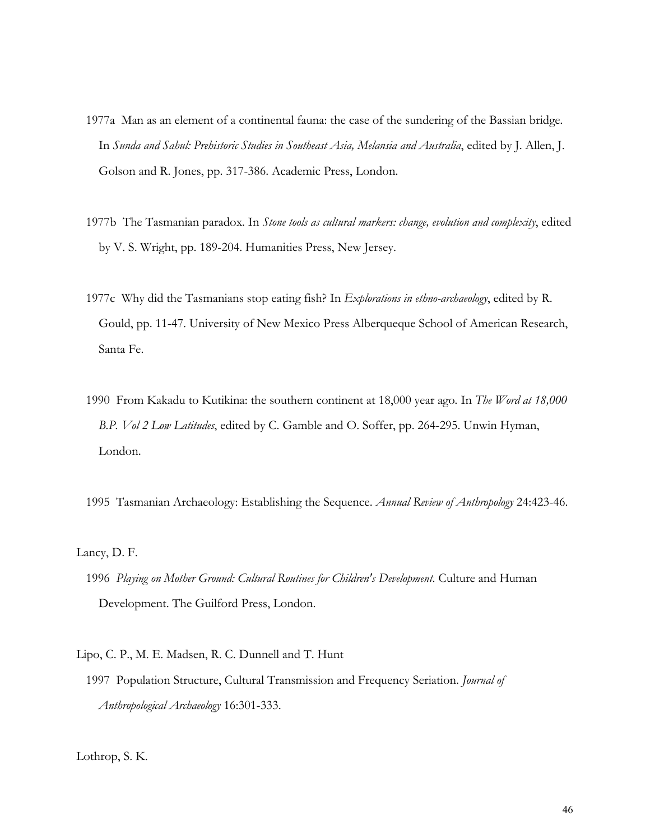- 1977a Man as an element of a continental fauna: the case of the sundering of the Bassian bridge*.* In *Sunda and Sahul: Prehistoric Studies in Southeast Asia, Melansia and Australia*, edited by J. Allen, J. Golson and R. Jones, pp. 317-386. Academic Press, London.
- 1977b The Tasmanian paradox*.* In *Stone tools as cultural markers: change, evolution and complexity*, edited by V. S. Wright, pp. 189-204. Humanities Press, New Jersey.
- 1977c Why did the Tasmanians stop eating fish? In *Explorations in ethno-archaeology*, edited by R. Gould, pp. 11-47. University of New Mexico Press Alberqueque School of American Research, Santa Fe.
- 1990 From Kakadu to Kutikina: the southern continent at 18,000 year ago*.* In *The Word at 18,000 B.P. Vol 2 Low Latitudes*, edited by C. Gamble and O. Soffer, pp. 264-295. Unwin Hyman, London.
- 1995 Tasmanian Archaeology: Establishing the Sequence. *Annual Review of Anthropology* 24:423-46.

Lancy, D. F.

- 1996 *Playing on Mother Ground: Cultural Routines for Children's Development*. Culture and Human Development. The Guilford Press, London.
- Lipo, C. P., M. E. Madsen, R. C. Dunnell and T. Hunt
	- 1997 Population Structure, Cultural Transmission and Frequency Seriation. *Journal of Anthropological Archaeology* 16:301-333.

Lothrop, S. K.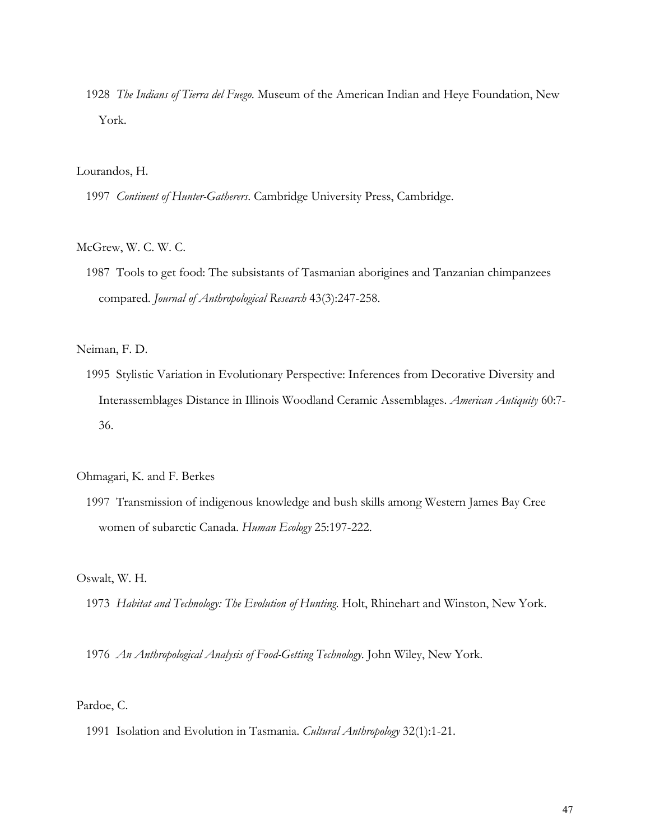1928 *The Indians of Tierra del Fuego*. Museum of the American Indian and Heye Foundation, New York.

#### Lourandos, H.

1997 *Continent of Hunter-Gatherers*. Cambridge University Press, Cambridge.

# McGrew, W. C. W. C.

 1987 Tools to get food: The subsistants of Tasmanian aborigines and Tanzanian chimpanzees compared. *Journal of Anthropological Research* 43(3):247-258.

Neiman, F. D.

 1995 Stylistic Variation in Evolutionary Perspective: Inferences from Decorative Diversity and Interassemblages Distance in Illinois Woodland Ceramic Assemblages. *American Antiquity* 60:7- 36.

Ohmagari, K. and F. Berkes

 1997 Transmission of indigenous knowledge and bush skills among Western James Bay Cree women of subarctic Canada. *Human Ecology* 25:197-222.

Oswalt, W. H.

1973 *Habitat and Technology: The Evolution of Hunting*. Holt, Rhinehart and Winston, New York.

1976 *An Anthropological Analysis of Food-Getting Technology*. John Wiley, New York.

Pardoe, C.

1991 Isolation and Evolution in Tasmania. *Cultural Anthropology* 32(1):1-21.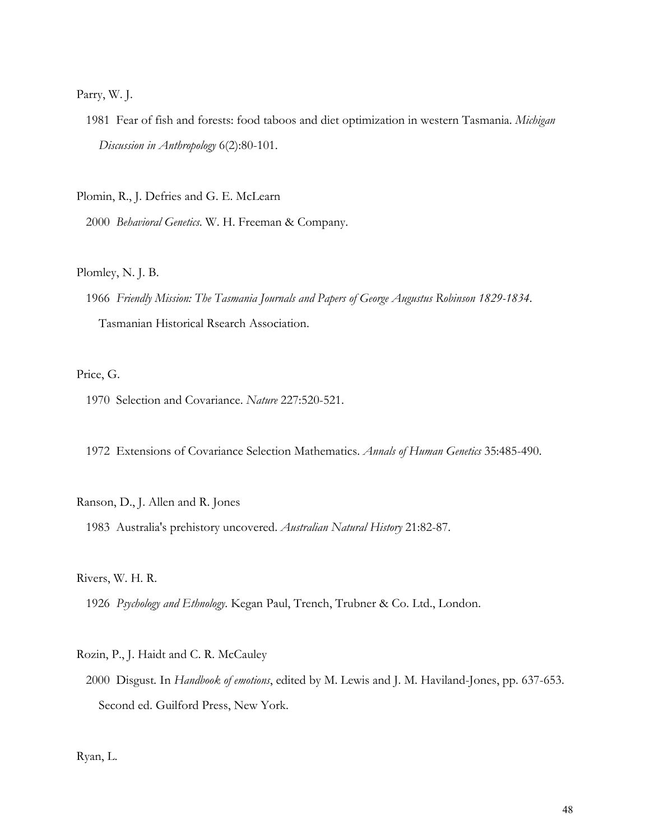#### Parry, W. J.

 1981 Fear of fish and forests: food taboos and diet optimization in western Tasmania. *Michigan Discussion in Anthropology* 6(2):80-101.

Plomin, R., J. Defries and G. E. McLearn

2000 *Behavioral Genetics*. W. H. Freeman & Company.

#### Plomley, N. J. B.

 1966 *Friendly Mission: The Tasmania Journals and Papers of George Augustus Robinson 1829-1834*. Tasmanian Historical Rsearch Association.

## Price, G.

1970 Selection and Covariance. *Nature* 227:520-521.

1972 Extensions of Covariance Selection Mathematics. *Annals of Human Genetics* 35:485-490.

## Ranson, D., J. Allen and R. Jones

1983 Australia's prehistory uncovered. *Australian Natural History* 21:82-87.

Rivers, W. H. R.

1926 *Psychology and Ethnology*. Kegan Paul, Trench, Trubner & Co. Ltd., London.

#### Rozin, P., J. Haidt and C. R. McCauley

 2000 Disgust*.* In *Handbook of emotions*, edited by M. Lewis and J. M. Haviland-Jones, pp. 637-653. Second ed. Guilford Press, New York.

Ryan, L.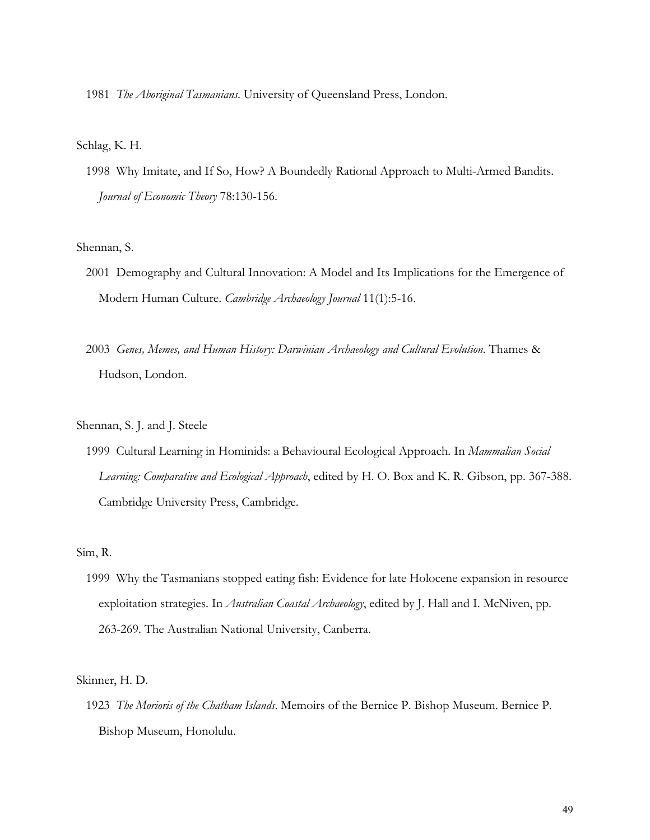1981 *The Aboriginal Tasmanians*. University of Queensland Press, London.

#### Schlag, K. H.

 1998 Why Imitate, and If So, How? A Boundedly Rational Approach to Multi-Armed Bandits. *Journal of Economic Theory* 78:130-156.

#### Shennan, S.

- 2001 Demography and Cultural Innovation: A Model and Its Implications for the Emergence of Modern Human Culture. *Cambridge Archaeology Journal* 11(1):5-16.
- 2003 *Genes, Memes, and Human History: Darwinian Archaeology and Cultural Evolution*. Thames & Hudson, London.

Shennan, S. J. and J. Steele

 1999 Cultural Learning in Hominids: a Behavioural Ecological Approach*.* In *Mammalian Social Learning: Comparative and Ecological Approach*, edited by H. O. Box and K. R. Gibson, pp. 367-388. Cambridge University Press, Cambridge.

## Sim, R.

 1999 Why the Tasmanians stopped eating fish: Evidence for late Holocene expansion in resource exploitation strategies. In *Australian Coastal Archaeology*, edited by J. Hall and I. McNiven, pp. 263-269. The Australian National University, Canberra.

#### Skinner, H. D.

 1923 *The Morioris of the Chatham Islands*. Memoirs of the Bernice P. Bishop Museum. Bernice P. Bishop Museum, Honolulu.